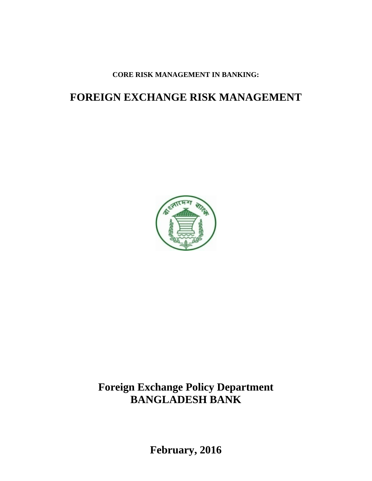**CORE RISK MANAGEMENT IN BANKING:**

# **FOREIGN EXCHANGE RISK MANAGEMENT**



# **Foreign Exchange Policy Department BANGLADESH BANK**

**February, 2016**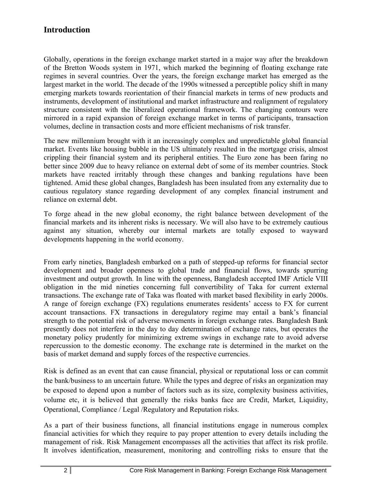# **Introduction**

Globally, operations in the foreign exchange market started in a major way after the breakdown of the Bretton Woods system in 1971, which marked the beginning of floating exchange rate regimes in several countries. Over the years, the foreign exchange market has emerged as the largest market in the world. The decade of the 1990s witnessed a perceptible policy shift in many emerging markets towards reorientation of their financial markets in terms of new products and instruments, development of institutional and market infrastructure and realignment of regulatory structure consistent with the liberalized operational framework. The changing contours were mirrored in a rapid expansion of foreign exchange market in terms of participants, transaction volumes, decline in transaction costs and more efficient mechanisms of risk transfer.

The new millennium brought with it an increasingly complex and unpredictable global financial market. Events like housing bubble in the US ultimately resulted in the mortgage crisis, almost crippling their financial system and its peripheral entities. The Euro zone has been faring no better since 2009 due to heavy reliance on external debt of some of its member countries. Stock markets have reacted irritably through these changes and banking regulations have been tightened. Amid these global changes, Bangladesh has been insulated from any externality due to cautious regulatory stance regarding development of any complex financial instrument and reliance on external debt.

To forge ahead in the new global economy, the right balance between development of the financial markets and its inherent risks is necessary. We will also have to be extremely cautious against any situation, whereby our internal markets are totally exposed to wayward developments happening in the world economy.

From early nineties, Bangladesh embarked on a path of stepped-up reforms for financial sector development and broader openness to global trade and financial flows, towards spurring investment and output growth. In line with the openness, Bangladesh accepted IMF Article VIII obligation in the mid nineties concerning full convertibility of Taka for current external transactions. The exchange rate of Taka was floated with market based flexibility in early 2000s. A range of foreign exchange (FX) regulations enumerates residents' access to FX for current account transactions. FX transactions in deregulatory regime may entail a bank's financial strength to the potential risk of adverse movements in foreign exchange rates. Bangladesh Bank presently does not interfere in the day to day determination of exchange rates, but operates the monetary policy prudently for minimizing extreme swings in exchange rate to avoid adverse repercussion to the domestic economy. The exchange rate is determined in the market on the basis of market demand and supply forces of the respective currencies.

Risk is defined as an event that can cause financial, physical or reputational loss or can commit the bank/business to an uncertain future. While the types and degree of risks an organization may be exposed to depend upon a number of factors such as its size, complexity business activities, volume etc, it is believed that generally the risks banks face are Credit, Market, Liquidity, Operational, Compliance / Legal /Regulatory and Reputation risks.

As a part of their business functions, all financial institutions engage in numerous complex financial activities for which they require to pay proper attention to every details including the management of risk. Risk Management encompasses all the activities that affect its risk profile. It involves identification, measurement, monitoring and controlling risks to ensure that the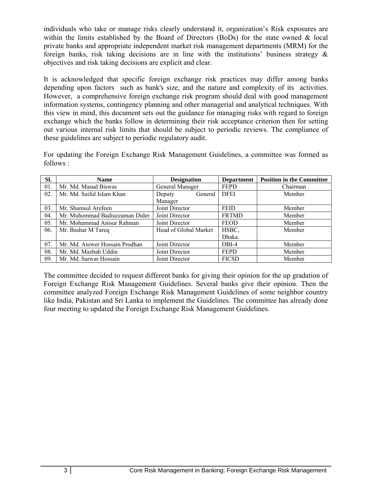individuals who take or manage risks clearly understand it, organization's Risk exposures are within the limits established by the Board of Directors (BoDs) for the state owned & local private banks and appropriate independent market risk management departments (MRM) for the foreign banks, risk taking decisions are in line with the institutions' business strategy  $\&$ objectives and risk taking decisions are explicit and clear.

It is acknowledged that specific foreign exchange risk practices may differ among banks depending upon factors such as bank's size, and the nature and complexity of its activities. However, a comprehensive foreign exchange risk program should deal with good management information systems, contingency planning and other managerial and analytical techniques. With this view in mind, this document sets out the guidance for managing risks with regard to foreign exchange which the banks follow in determining their risk acceptance criterion then for setting out various internal risk limits that should be subject to periodic reviews. The compliance of these guidelines are subject to periodic regulatory audit.

For updating the Foreign Exchange Risk Management Guidelines, a committee was formed as follows :

| SI. | <b>Name</b>                                      | <b>Designation</b>    | <b>Department</b> | <b>Position in the Committee</b> |
|-----|--------------------------------------------------|-----------------------|-------------------|----------------------------------|
| 01. | Mr. Md. Masud Biswas                             | General Manager       | <b>FEPD</b>       | Chairman                         |
| 02. | Mr. Md. Saiful Islam Khan                        | General<br>Deputy     | <b>DFEI</b>       | Member                           |
|     |                                                  | Manager               |                   |                                  |
| 03. | Mr. Shamsul Arefeen                              | Joint Director        | <b>FEID</b>       | Member                           |
| 04. | Mr. Muhommad Badiuzzaman Dider                   | Joint Director        | <b>FRTMD</b>      | Member                           |
| 05. | Mr. Mohammad Anisur Rahman                       | Joint Director        | <b>FEOD</b>       | Member                           |
| 06. | Mr. Bashar M Tareq                               | Head of Global Market | HSBC,             | Member                           |
|     |                                                  |                       | Dhaka.            |                                  |
| 07. | Mr. Md. Atower Hossain Prodhan<br>Joint Director |                       | DBI-4             | Member                           |
| 08. | Mr. Md. Mazbah Uddin                             | Joint Director        | <b>FEPD</b>       | Member                           |
| 09. | Mr. Md. Sarwar Hossain                           | Joint Director        | <b>FICSD</b>      | Member                           |

The committee decided to request different banks for giving their opinion for the up gradation of Foreign Exchange Risk Management Guidelines. Several banks give their opinion. Then the committee analyzed Foreign Exchange Risk Management Guidelines of some neighbor country like India, Pakistan and Sri Lanka to implement the Guidelines. The committee has already done four meeting to updated the Foreign Exchange Risk Management Guidelines.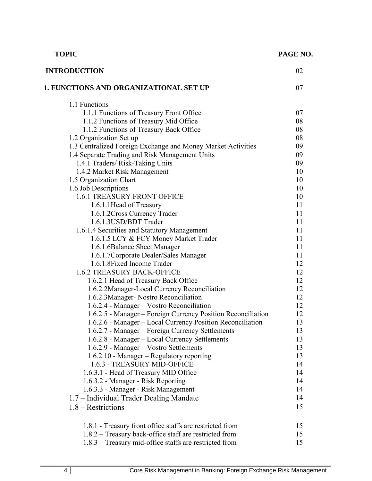| <b>TOPIC</b>                                                              | PAGE NO. |
|---------------------------------------------------------------------------|----------|
| <b>INTRODUCTION</b>                                                       | 02       |
| <b>1. FUNCTIONS AND ORGANIZATIONAL SET UP</b>                             | 07       |
| 1.1 Functions                                                             |          |
| 1.1.1 Functions of Treasury Front Office                                  | 07       |
| 1.1.2 Functions of Treasury Mid Office                                    | 08       |
| 1.1.2 Functions of Treasury Back Office                                   | 08       |
| 1.2 Organization Set up                                                   | 08       |
| 1.3 Centralized Foreign Exchange and Money Market Activities              | 09       |
| 1.4 Separate Trading and Risk Management Units                            | 09       |
| 1.4.1 Traders/ Risk-Taking Units                                          | 09       |
| 1.4.2 Market Risk Management                                              | 10       |
| 1.5 Organization Chart                                                    | 10       |
| 1.6 Job Descriptions                                                      | 10       |
| <b>1.6.1 TREASURY FRONT OFFICE</b>                                        | 10       |
| 1.6.1.1 Head of Treasury<br>1.6.1.2 Cross Currency Trader                 | 11<br>11 |
| 1.6.1.3USD/BDT Trader                                                     | 11       |
| 1.6.1.4 Securities and Statutory Management                               | 11       |
| 1.6.1.5 LCY & FCY Money Market Trader                                     | 11       |
| 1.6.1.6Balance Sheet Manager                                              | 11       |
| 1.6.1.7 Corporate Dealer/Sales Manager                                    | 11       |
| 1.6.1.8 Fixed Income Trader                                               | 12       |
| <b>1.6.2 TREASURY BACK-OFFICE</b>                                         | 12       |
| 1.6.2.1 Head of Treasury Back Office                                      | 12       |
| 1.6.2.2Manager-Local Currency Reconciliation                              | 12       |
| 1.6.2.3Manager- Nostro Reconciliation                                     | 12       |
| 1.6.2.4 - Manager - Vostro Reconciliation                                 | 12       |
| 1.6.2.5 - Manager – Foreign Currency Position Reconciliation              | 12       |
| 1.6.2.6 - Manager – Local Currency Position Reconciliation                | 13       |
| 1.6.2.7 - Manager – Foreign Currency Settlements                          | 13       |
| 1.6.2.8 - Manager – Local Currency Settlements                            | 13       |
| 1.6.2.9 - Manager – Vostro Settlements                                    | 13       |
| 1.6.2.10 - Manager – Regulatory reporting                                 | 13       |
| 1.6.3 - TREASURY MID-OFFICE                                               | 14       |
| 1.6.3.1 - Head of Treasury MID Office                                     | 14<br>14 |
| 1.6.3.2 - Manager - Risk Reporting<br>1.6.3.3 - Manager - Risk Management | 14       |
| 1.7 – Individual Trader Dealing Mandate                                   | 14       |
| $1.8 - \text{Restrictions}$                                               | 15       |
|                                                                           |          |
| 1.8.1 - Treasury front office staffs are restricted from                  | 15       |
| 1.8.2 – Treasury back-office staff are restricted from                    | 15       |
| 1.8.3 – Treasury mid-office staffs are restricted from                    | 15       |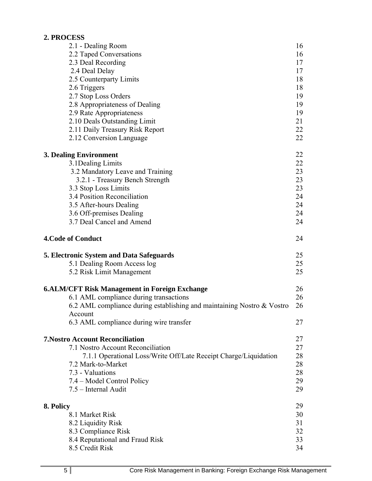# **2. PROCESS**

|           | 2.1 - Dealing Room                                                     | 16 |
|-----------|------------------------------------------------------------------------|----|
|           | 2.2 Taped Conversations                                                | 16 |
|           | 2.3 Deal Recording                                                     | 17 |
|           | 2.4 Deal Delay                                                         | 17 |
|           | 2.5 Counterparty Limits                                                | 18 |
|           | 2.6 Triggers                                                           | 18 |
|           | 2.7 Stop Loss Orders                                                   | 19 |
|           | 2.8 Appropriateness of Dealing                                         | 19 |
|           | 2.9 Rate Appropriateness                                               | 19 |
|           | 2.10 Deals Outstanding Limit                                           | 21 |
|           | 2.11 Daily Treasury Risk Report                                        | 22 |
|           | 2.12 Conversion Language                                               | 22 |
|           | <b>3. Dealing Environment</b>                                          | 22 |
|           | 3.1 Dealing Limits                                                     | 22 |
|           | 3.2 Mandatory Leave and Training                                       | 23 |
|           | 3.2.1 - Treasury Bench Strength                                        | 23 |
|           | 3.3 Stop Loss Limits                                                   | 23 |
|           | 3.4 Position Reconciliation                                            | 24 |
|           | 3.5 After-hours Dealing                                                | 24 |
|           | 3.6 Off-premises Dealing                                               | 24 |
|           | 3.7 Deal Cancel and Amend                                              | 24 |
|           | <b>4. Code of Conduct</b>                                              | 24 |
|           | 5. Electronic System and Data Safeguards                               | 25 |
|           | 5.1 Dealing Room Access log                                            | 25 |
|           | 5.2 Risk Limit Management                                              | 25 |
|           | <b>6.ALM/CFT Risk Management in Foreign Exchange</b>                   | 26 |
|           | 6.1 AML compliance during transactions                                 | 26 |
|           | 6.2 AML compliance during establishing and maintaining Nostro & Vostro | 26 |
|           | Account<br>6.3 AML compliance during wire transfer                     | 27 |
|           |                                                                        |    |
|           | <b>7. Nostro Account Reconciliation</b>                                | 27 |
|           | 7.1 Nostro Account Reconciliation                                      | 27 |
|           | 7.1.1 Operational Loss/Write Off/Late Receipt Charge/Liquidation       | 28 |
|           | 7.2 Mark-to-Market                                                     | 28 |
|           | 7.3 - Valuations                                                       | 28 |
|           | 7.4 – Model Control Policy                                             | 29 |
|           | 7.5 - Internal Audit                                                   | 29 |
| 8. Policy |                                                                        | 29 |
|           | 8.1 Market Risk                                                        | 30 |
|           | 8.2 Liquidity Risk                                                     | 31 |
|           | 8.3 Compliance Risk                                                    | 32 |
|           | 8.4 Reputational and Fraud Risk                                        | 33 |
|           | 8.5 Credit Risk                                                        | 34 |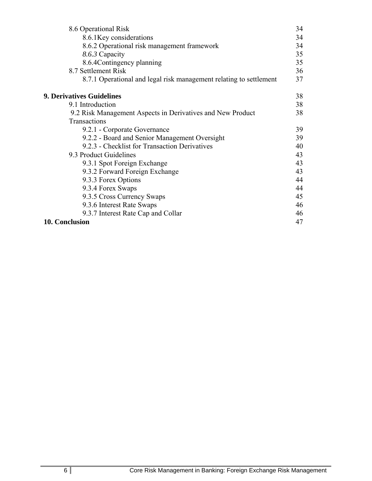| 8.6 Operational Risk                                               | 34 |
|--------------------------------------------------------------------|----|
| 8.6.1 Key considerations                                           | 34 |
| 8.6.2 Operational risk management framework                        | 34 |
| 8.6.3 Capacity                                                     | 35 |
| 8.6.4Contingency planning                                          | 35 |
| 8.7 Settlement Risk                                                | 36 |
| 8.7.1 Operational and legal risk management relating to settlement | 37 |
| <b>9. Derivatives Guidelines</b>                                   | 38 |
| 9.1 Introduction                                                   | 38 |
| 9.2 Risk Management Aspects in Derivatives and New Product         | 38 |
| Transactions                                                       |    |
| 9.2.1 - Corporate Governance                                       | 39 |
| 9.2.2 - Board and Senior Management Oversight                      | 39 |
| 9.2.3 - Checklist for Transaction Derivatives                      | 40 |
| 9.3 Product Guidelines                                             | 43 |
| 9.3.1 Spot Foreign Exchange                                        | 43 |
| 9.3.2 Forward Foreign Exchange                                     | 43 |
| 9.3.3 Forex Options                                                | 44 |
| 9.3.4 Forex Swaps                                                  | 44 |
| 9.3.5 Cross Currency Swaps                                         | 45 |
| 9.3.6 Interest Rate Swaps                                          | 46 |
| 9.3.7 Interest Rate Cap and Collar                                 | 46 |
| 10. Conclusion                                                     | 47 |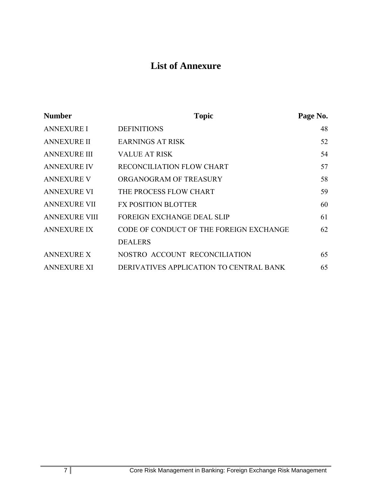# **List of Annexure**

| <b>Number</b>        | <b>Topic</b>                            | Page No. |
|----------------------|-----------------------------------------|----------|
| <b>ANNEXURE I</b>    | <b>DEFINITIONS</b>                      | 48       |
| <b>ANNEXURE II</b>   | <b>EARNINGS AT RISK</b>                 | 52       |
| <b>ANNEXURE III</b>  | <b>VALUE AT RISK</b>                    | 54       |
| <b>ANNEXURE IV</b>   | RECONCILIATION FLOW CHART               | 57       |
| <b>ANNEXURE V</b>    | ORGANOGRAM OF TREASURY                  | 58       |
| <b>ANNEXURE VI</b>   | THE PROCESS FLOW CHART                  | 59       |
| <b>ANNEXURE VII</b>  | <b>FX POSITION BLOTTER</b>              | 60       |
| <b>ANNEXURE VIII</b> | <b>FOREIGN EXCHANGE DEAL SLIP</b>       | 61       |
| <b>ANNEXURE IX</b>   | CODE OF CONDUCT OF THE FOREIGN EXCHANGE | 62       |
|                      | <b>DEALERS</b>                          |          |
| <b>ANNEXURE X</b>    | NOSTRO ACCOUNT RECONCILIATION           | 65       |
| <b>ANNEXURE XI</b>   | DERIVATIVES APPLICATION TO CENTRAL BANK | 65       |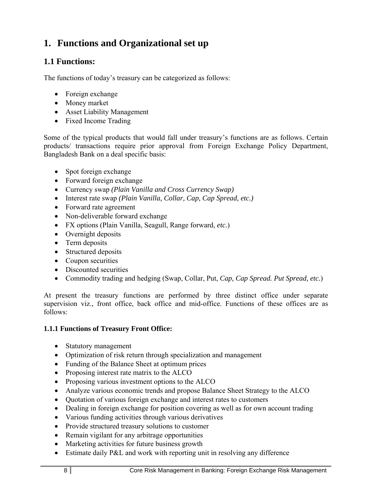# **1. Functions and Organizational set up**

# **1.1 Functions:**

The functions of today's treasury can be categorized as follows:

- Foreign exchange
- Money market
- Asset Liability Management
- Fixed Income Trading

Some of the typical products that would fall under treasury's functions are as follows. Certain products/ transactions require prior approval from Foreign Exchange Policy Department, Bangladesh Bank on a deal specific basis:

- Spot foreign exchange
- Forward foreign exchange
- Currency swap *(Plain Vanilla and Cross Currency Swap)*
- Interest rate swap *(Plain Vanilla, Collar, Cap, Cap Spread, etc.)*
- Forward rate agreement
- Non-deliverable forward exchange
- FX options (Plain Vanilla, Seagull, Range forward, *etc.*)
- Overnight deposits
- Term deposits
- Structured deposits
- Coupon securities
- Discounted securities
- Commodity trading and hedging (Swap, Collar, Put, *Cap, Cap Spread. Put Spread, etc.*)

At present the treasury functions are performed by three distinct office under separate supervision viz., front office, back office and mid-office. Functions of these offices are as follows:

#### **1.1.1 Functions of Treasury Front Office:**

- Statutory management
- Optimization of risk return through specialization and management
- Funding of the Balance Sheet at optimum prices
- Proposing interest rate matrix to the ALCO
- Proposing various investment options to the ALCO
- Analyze various economic trends and propose Balance Sheet Strategy to the ALCO
- Quotation of various foreign exchange and interest rates to customers
- Dealing in foreign exchange for position covering as well as for own account trading
- Various funding activities through various derivatives
- Provide structured treasury solutions to customer
- Remain vigilant for any arbitrage opportunities
- Marketing activities for future business growth
- Estimate daily P&L and work with reporting unit in resolving any difference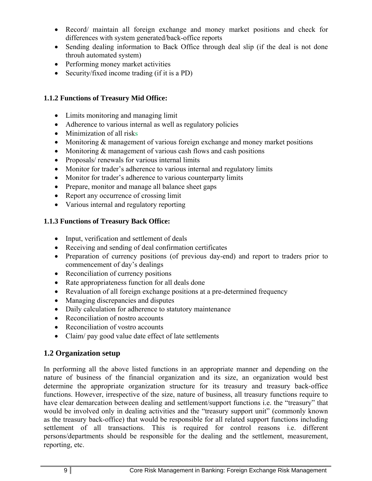- Record/ maintain all foreign exchange and money market positions and check for differences with system generated/back-office reports
- Sending dealing information to Back Office through deal slip (if the deal is not done throuh automated system)
- Performing money market activities
- Security/fixed income trading (if it is a PD)

# **1.1.2 Functions of Treasury Mid Office:**

- Limits monitoring and managing limit
- Adherence to various internal as well as regulatory policies
- Minimization of all risks
- Monitoring & management of various foreign exchange and money market positions
- Monitoring  $&$  management of various cash flows and cash positions
- Proposals/ renewals for various internal limits
- Monitor for trader's adherence to various internal and regulatory limits
- Monitor for trader's adherence to various counterparty limits
- Prepare, monitor and manage all balance sheet gaps
- Report any occurrence of crossing limit
- Various internal and regulatory reporting

# **1.1.3 Functions of Treasury Back Office:**

- Input, verification and settlement of deals
- Receiving and sending of deal confirmation certificates
- Preparation of currency positions (of previous day-end) and report to traders prior to commencement of day's dealings
- Reconciliation of currency positions
- Rate appropriateness function for all deals done
- Revaluation of all foreign exchange positions at a pre-determined frequency
- Managing discrepancies and disputes
- Daily calculation for adherence to statutory maintenance
- Reconciliation of nostro accounts
- Reconciliation of vostro accounts
- Claim/ pay good value date effect of late settlements

# **1.2 Organization setup**

In performing all the above listed functions in an appropriate manner and depending on the nature of business of the financial organization and its size, an organization would best determine the appropriate organization structure for its treasury and treasury back-office functions. However, irrespective of the size, nature of business, all treasury functions require to have clear demarcation between dealing and settlement/support functions i.e. the "treasury" that would be involved only in dealing activities and the "treasury support unit" (commonly known as the treasury back-office) that would be responsible for all related support functions including settlement of all transactions. This is required for control reasons i.e. different persons/departments should be responsible for the dealing and the settlement, measurement, reporting, etc.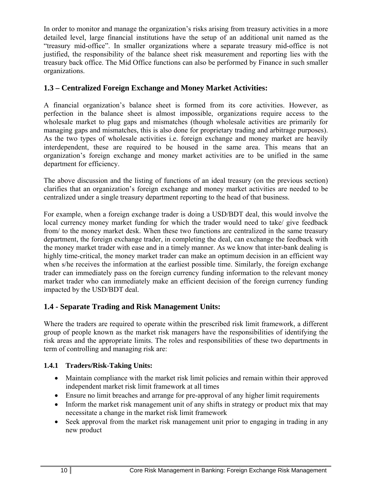In order to monitor and manage the organization's risks arising from treasury activities in a more detailed level, large financial institutions have the setup of an additional unit named as the "treasury mid-office". In smaller organizations where a separate treasury mid-office is not justified, the responsibility of the balance sheet risk measurement and reporting lies with the treasury back office. The Mid Office functions can also be performed by Finance in such smaller organizations.

# **1.3 – Centralized Foreign Exchange and Money Market Activities:**

A financial organization's balance sheet is formed from its core activities. However, as perfection in the balance sheet is almost impossible, organizations require access to the wholesale market to plug gaps and mismatches (though wholesale activities are primarily for managing gaps and mismatches, this is also done for proprietary trading and arbitrage purposes). As the two types of wholesale activities i.e. foreign exchange and money market are heavily interdependent, these are required to be housed in the same area. This means that an organization's foreign exchange and money market activities are to be unified in the same department for efficiency.

The above discussion and the listing of functions of an ideal treasury (on the previous section) clarifies that an organization's foreign exchange and money market activities are needed to be centralized under a single treasury department reporting to the head of that business.

For example, when a foreign exchange trader is doing a USD/BDT deal, this would involve the local currency money market funding for which the trader would need to take/ give feedback from/ to the money market desk. When these two functions are centralized in the same treasury department, the foreign exchange trader, in completing the deal, can exchange the feedback with the money market trader with ease and in a timely manner. As we know that inter-bank dealing is highly time-critical, the money market trader can make an optimum decision in an efficient way when s/he receives the information at the earliest possible time. Similarly, the foreign exchange trader can immediately pass on the foreign currency funding information to the relevant money market trader who can immediately make an efficient decision of the foreign currency funding impacted by the USD/BDT deal.

# **1.4 - Separate Trading and Risk Management Units:**

Where the traders are required to operate within the prescribed risk limit framework, a different group of people known as the market risk managers have the responsibilities of identifying the risk areas and the appropriate limits. The roles and responsibilities of these two departments in term of controlling and managing risk are:

# **1.4.1 Traders/Risk-Taking Units:**

- Maintain compliance with the market risk limit policies and remain within their approved independent market risk limit framework at all times
- Ensure no limit breaches and arrange for pre-approval of any higher limit requirements
- Inform the market risk management unit of any shifts in strategy or product mix that may necessitate a change in the market risk limit framework
- Seek approval from the market risk management unit prior to engaging in trading in any new product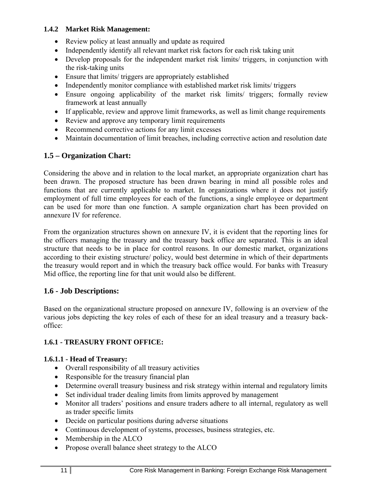### **1.4.2 Market Risk Management:**

- Review policy at least annually and update as required
- Independently identify all relevant market risk factors for each risk taking unit
- Develop proposals for the independent market risk limits/ triggers, in conjunction with the risk-taking units
- Ensure that limits/ triggers are appropriately established
- Independently monitor compliance with established market risk limits/ triggers
- Ensure ongoing applicability of the market risk limits/ triggers; formally review framework at least annually
- If applicable, review and approve limit frameworks, as well as limit change requirements
- Review and approve any temporary limit requirements
- Recommend corrective actions for any limit excesses
- Maintain documentation of limit breaches, including corrective action and resolution date

# **1.5 – Organization Chart:**

Considering the above and in relation to the local market, an appropriate organization chart has been drawn. The proposed structure has been drawn bearing in mind all possible roles and functions that are currently applicable to market. In organizations where it does not justify employment of full time employees for each of the functions, a single employee or department can be used for more than one function. A sample organization chart has been provided on annexure IV for reference.

From the organization structures shown on annexure IV, it is evident that the reporting lines for the officers managing the treasury and the treasury back office are separated. This is an ideal structure that needs to be in place for control reasons. In our domestic market, organizations according to their existing structure/ policy, would best determine in which of their departments the treasury would report and in which the treasury back office would. For banks with Treasury Mid office, the reporting line for that unit would also be different.

# **1.6 - Job Descriptions:**

Based on the organizational structure proposed on annexure IV, following is an overview of the various jobs depicting the key roles of each of these for an ideal treasury and a treasury backoffice:

# **1.6.1 - TREASURY FRONT OFFICE:**

# **1.6.1.1 - Head of Treasury:**

- Overall responsibility of all treasury activities
- Responsible for the treasury financial plan
- Determine overall treasury business and risk strategy within internal and regulatory limits
- Set individual trader dealing limits from limits approved by management
- Monitor all traders' positions and ensure traders adhere to all internal, regulatory as well as trader specific limits
- Decide on particular positions during adverse situations
- Continuous development of systems, processes, business strategies, etc.
- Membership in the ALCO
- Propose overall balance sheet strategy to the ALCO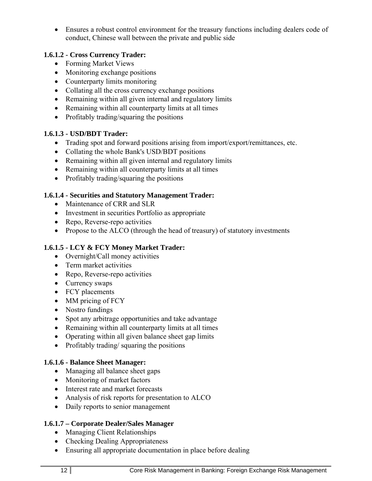Ensures a robust control environment for the treasury functions including dealers code of conduct, Chinese wall between the private and public side

# **1.6.1.2 - Cross Currency Trader:**

- Forming Market Views
- Monitoring exchange positions
- Counterparty limits monitoring
- Collating all the cross currency exchange positions
- Remaining within all given internal and regulatory limits
- Remaining within all counterparty limits at all times
- Profitably trading/squaring the positions

# **1.6.1.3 - USD/BDT Trader:**

- Trading spot and forward positions arising from import/export/remittances, etc.
- Collating the whole Bank's USD/BDT positions
- Remaining within all given internal and regulatory limits
- Remaining within all counterparty limits at all times
- Profitably trading/squaring the positions

# **1.6.1.4 - Securities and Statutory Management Trader:**

- Maintenance of CRR and SLR
- Investment in securities Portfolio as appropriate
- Repo, Reverse-repo activities
- Propose to the ALCO (through the head of treasury) of statutory investments

# **1.6.1.5 - LCY & FCY Money Market Trader:**

- Overnight/Call money activities
- Term market activities
- Repo, Reverse-repo activities
- Currency swaps
- FCY placements
- MM pricing of FCY
- Nostro fundings
- Spot any arbitrage opportunities and take advantage
- Remaining within all counterparty limits at all times
- Operating within all given balance sheet gap limits
- Profitably trading/ squaring the positions

# **1.6.1.6 - Balance Sheet Manager:**

- Managing all balance sheet gaps
- Monitoring of market factors
- Interest rate and market forecasts
- Analysis of risk reports for presentation to ALCO
- Daily reports to senior management

# **1.6.1.7 – Corporate Dealer/Sales Manager**

- Managing Client Relationships
- Checking Dealing Appropriateness
- Ensuring all appropriate documentation in place before dealing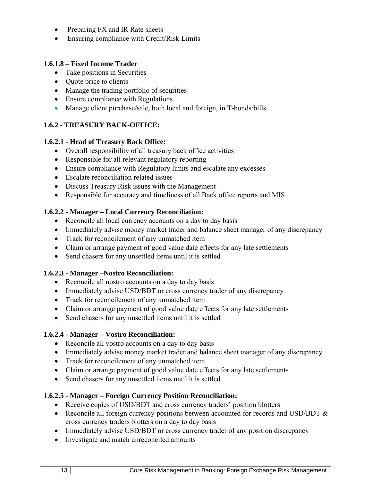- Preparing FX and IR Rate sheets
- Ensuring compliance with Credit/Risk Limits

## **1.6.1.8 – Fixed Income Trader**

- Take positions in Securities
- Quote price to clients
- Manage the trading portfolio of securities
- Ensure compliance with Regulations
- Manage client purchase/sale, both local and foreign, in T-bonds/bills

# **1.6.2 - TREASURY BACK-OFFICE:**

#### **1.6.2.1 - Head of Treasury Back Office:**

- Overall responsibility of all treasury back office activities
- Responsible for all relevant regulatory reporting
- Ensure compliance with Regulatory limits and escalate any excesses
- Escalate reconciliation related issues
- Discuss Treasury Risk issues with the Management
- Responsible for accuracy and timeliness of all Back office reports and MIS

# **1.6.2.2 - Manager – Local Currency Reconciliation:**

- Reconcile all local currency accounts on a day to day basis
- Immediately advise money market trader and balance sheet manager of any discrepancy
- Track for reconcilement of any unmatched item
- Claim or arrange payment of good value date effects for any late settlements
- Send chasers for any unsettled items until it is settled

#### **1.6.2.3 - Manager –Nostro Reconciliation:**

- Reconcile all nostro accounts on a day to day basis
- Immediately advise USD/BDT or cross currency trader of any discrepancy
- Track for reconcilement of any unmatched item
- Claim or arrange payment of good value date effects for any late settlements
- Send chasers for any unsettled items until it is settled

#### **1.6.2.4 - Manager – Vostro Reconciliation:**

- Reconcile all vostro accounts on a day to day basis
- Immediately advise money market trader and balance sheet manager of any discrepancy
- Track for reconcilement of any unmatched item
- Claim or arrange payment of good value date effects for any late settlements
- Send chasers for any unsettled items until it is settled

# **1.6.2.5 - Manager – Foreign Currency Position Reconciliation:**

- Receive copies of USD/BDT and cross currency traders' position blotters
- Reconcile all foreign currency positions between accounted for records and USD/BDT  $\&$ cross currency traders blotters on a day to day basis
- Immediately advise USD/BDT or cross currency trader of any position discrepancy
- Investigate and match unreconciled amounts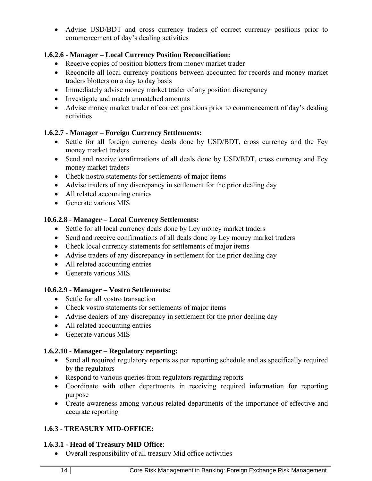Advise USD/BDT and cross currency traders of correct currency positions prior to commencement of day's dealing activities

### **1.6.2.6 - Manager – Local Currency Position Reconciliation:**

- Receive copies of position blotters from money market trader
- Reconcile all local currency positions between accounted for records and money market traders blotters on a day to day basis
- Immediately advise money market trader of any position discrepancy
- Investigate and match unmatched amounts
- Advise money market trader of correct positions prior to commencement of day's dealing activities

# **1.6.2.7 - Manager – Foreign Currency Settlements:**

- Settle for all foreign currency deals done by USD/BDT, cross currency and the Fcy money market traders
- Send and receive confirmations of all deals done by USD/BDT, cross currency and Fcy money market traders
- Check nostro statements for settlements of major items
- Advise traders of any discrepancy in settlement for the prior dealing day
- All related accounting entries
- Generate various MIS

# **10.6.2.8 - Manager – Local Currency Settlements:**

- Settle for all local currency deals done by Lcy money market traders
- Send and receive confirmations of all deals done by Lcy money market traders
- Check local currency statements for settlements of major items
- Advise traders of any discrepancy in settlement for the prior dealing day
- All related accounting entries
- Generate various MIS

#### **10.6.2.9 - Manager – Vostro Settlements:**

- Settle for all vostro transaction
- Check vostro statements for settlements of major items
- Advise dealers of any discrepancy in settlement for the prior dealing day
- All related accounting entries
- Generate various MIS

#### **1.6.2.10 - Manager – Regulatory reporting:**

- Send all required regulatory reports as per reporting schedule and as specifically required by the regulators
- Respond to various queries from regulators regarding reports
- Coordinate with other departments in receiving required information for reporting purpose
- Create awareness among various related departments of the importance of effective and accurate reporting

# **1.6.3 - TREASURY MID-OFFICE:**

#### **1.6.3.1 - Head of Treasury MID Office**:

Overall responsibility of all treasury Mid office activities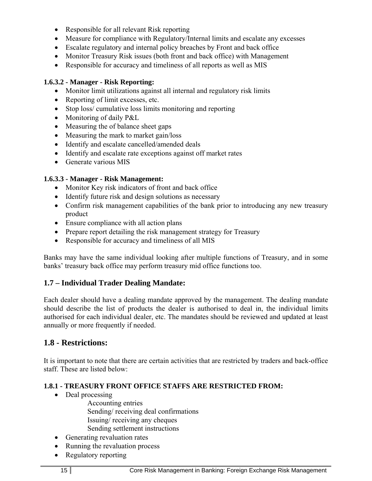- Responsible for all relevant Risk reporting
- Measure for compliance with Regulatory/Internal limits and escalate any excesses
- Escalate regulatory and internal policy breaches by Front and back office
- Monitor Treasury Risk issues (both front and back office) with Management
- Responsible for accuracy and timeliness of all reports as well as MIS

# **1.6.3.2 - Manager - Risk Reporting:**

- Monitor limit utilizations against all internal and regulatory risk limits
- Reporting of limit excesses, etc.
- Stop loss/ cumulative loss limits monitoring and reporting
- Monitoring of daily P&L
- Measuring the of balance sheet gaps
- Measuring the mark to market gain/loss
- Identify and escalate cancelled/amended deals
- Identify and escalate rate exceptions against off market rates
- Generate various MIS

# **1.6.3.3 - Manager - Risk Management:**

- Monitor Key risk indicators of front and back office
- Identify future risk and design solutions as necessary
- Confirm risk management capabilities of the bank prior to introducing any new treasury product
- Ensure compliance with all action plans
- Prepare report detailing the risk management strategy for Treasury
- Responsible for accuracy and timeliness of all MIS

Banks may have the same individual looking after multiple functions of Treasury, and in some banks' treasury back office may perform treasury mid office functions too.

# **1.7 – Individual Trader Dealing Mandate:**

Each dealer should have a dealing mandate approved by the management. The dealing mandate should describe the list of products the dealer is authorised to deal in, the individual limits authorised for each individual dealer, etc. The mandates should be reviewed and updated at least annually or more frequently if needed.

# **1.8 - Restrictions:**

It is important to note that there are certain activities that are restricted by traders and back-office staff. These are listed below:

#### **1.8.1 - TREASURY FRONT OFFICE STAFFS ARE RESTRICTED FROM:**

• Deal processing

 Accounting entries Sending/ receiving deal confirmations Issuing/ receiving any cheques Sending settlement instructions

- Generating revaluation rates
- Running the revaluation process
- Regulatory reporting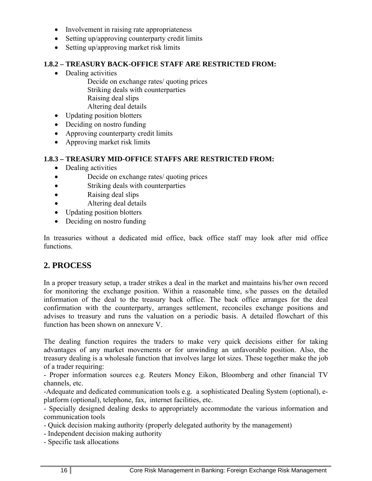- Involvement in raising rate appropriateness
- Setting up/approving counterparty credit limits
- Setting up/approving market risk limits

#### **1.8.2 – TREASURY BACK-OFFICE STAFF ARE RESTRICTED FROM:**

- Dealing activities
	- Decide on exchange rates/ quoting prices Striking deals with counterparties Raising deal slips Altering deal details
- Updating position blotters
- Deciding on nostro funding
- Approving counterparty credit limits
- Approving market risk limits

#### **1.8.3 – TREASURY MID-OFFICE STAFFS ARE RESTRICTED FROM:**

- Dealing activities
- Decide on exchange rates/ quoting prices
- Striking deals with counterparties
- Raising deal slips
- Altering deal details
- Updating position blotters
- Deciding on nostro funding

In treasuries without a dedicated mid office, back office staff may look after mid office functions.

# **2. PROCESS**

In a proper treasury setup, a trader strikes a deal in the market and maintains his/her own record for monitoring the exchange position. Within a reasonable time, s/he passes on the detailed information of the deal to the treasury back office. The back office arranges for the deal confirmation with the counterparty, arranges settlement, reconciles exchange positions and advises to treasury and runs the valuation on a periodic basis. A detailed flowchart of this function has been shown on annexure V.

The dealing function requires the traders to make very quick decisions either for taking advantages of any market movements or for unwinding an unfavorable position. Also, the treasury dealing is a wholesale function that involves large lot sizes. These together make the job of a trader requiring:

- Proper information sources e.g. Reuters Money Eikon, Bloomberg and other financial TV channels, etc.

-Adequate and dedicated communication tools e.g. a sophisticated Dealing System (optional), eplatform (optional), telephone, fax, internet facilities, etc.

- Specially designed dealing desks to appropriately accommodate the various information and communication tools

- Quick decision making authority (properly delegated authority by the management)
- Independent decision making authority
- Specific task allocations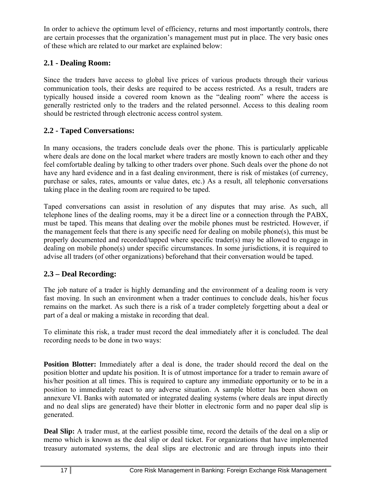In order to achieve the optimum level of efficiency, returns and most importantly controls, there are certain processes that the organization's management must put in place. The very basic ones of these which are related to our market are explained below:

# **2.1 - Dealing Room:**

Since the traders have access to global live prices of various products through their various communication tools, their desks are required to be access restricted. As a result, traders are typically housed inside a covered room known as the "dealing room" where the access is generally restricted only to the traders and the related personnel. Access to this dealing room should be restricted through electronic access control system.

# **2.2 - Taped Conversations:**

In many occasions, the traders conclude deals over the phone. This is particularly applicable where deals are done on the local market where traders are mostly known to each other and they feel comfortable dealing by talking to other traders over phone. Such deals over the phone do not have any hard evidence and in a fast dealing environment, there is risk of mistakes (of currency, purchase or sales, rates, amounts or value dates, etc.) As a result, all telephonic conversations taking place in the dealing room are required to be taped.

Taped conversations can assist in resolution of any disputes that may arise. As such, all telephone lines of the dealing rooms, may it be a direct line or a connection through the PABX, must be taped. This means that dealing over the mobile phones must be restricted. However, if the management feels that there is any specific need for dealing on mobile phone(s), this must be properly documented and recorded/tapped where specific trader(s) may be allowed to engage in dealing on mobile phone(s) under specific circumstances. In some jurisdictions, it is required to advise all traders (of other organizations) beforehand that their conversation would be taped.

# **2.3 – Deal Recording:**

The job nature of a trader is highly demanding and the environment of a dealing room is very fast moving. In such an environment when a trader continues to conclude deals, his/her focus remains on the market. As such there is a risk of a trader completely forgetting about a deal or part of a deal or making a mistake in recording that deal.

To eliminate this risk, a trader must record the deal immediately after it is concluded. The deal recording needs to be done in two ways:

**Position Blotter:** Immediately after a deal is done, the trader should record the deal on the position blotter and update his position. It is of utmost importance for a trader to remain aware of his/her position at all times. This is required to capture any immediate opportunity or to be in a position to immediately react to any adverse situation. A sample blotter has been shown on annexure VI. Banks with automated or integrated dealing systems (where deals are input directly and no deal slips are generated) have their blotter in electronic form and no paper deal slip is generated.

**Deal Slip:** A trader must, at the earliest possible time, record the details of the deal on a slip or memo which is known as the deal slip or deal ticket. For organizations that have implemented treasury automated systems, the deal slips are electronic and are through inputs into their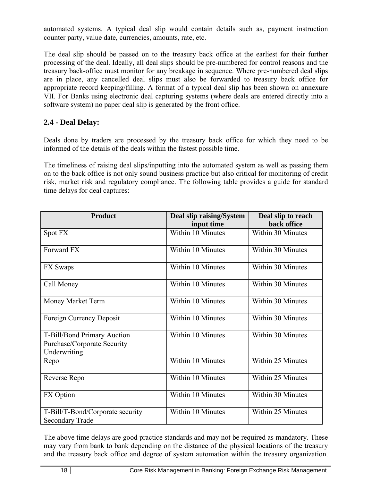automated systems. A typical deal slip would contain details such as, payment instruction counter party, value date, currencies, amounts, rate, etc.

The deal slip should be passed on to the treasury back office at the earliest for their further processing of the deal. Ideally, all deal slips should be pre-numbered for control reasons and the treasury back-office must monitor for any breakage in sequence. Where pre-numbered deal slips are in place, any cancelled deal slips must also be forwarded to treasury back office for appropriate record keeping/filling. A format of a typical deal slip has been shown on annexure VII. For Banks using electronic deal capturing systems (where deals are entered directly into a software system) no paper deal slip is generated by the front office.

# **2.4 - Deal Delay:**

Deals done by traders are processed by the treasury back office for which they need to be informed of the details of the deals within the fastest possible time.

The timeliness of raising deal slips/inputting into the automated system as well as passing them on to the back office is not only sound business practice but also critical for monitoring of credit risk, market risk and regulatory compliance. The following table provides a guide for standard time delays for deal captures:

| <b>Product</b>                                                             | Deal slip raising/System | Deal slip to reach |
|----------------------------------------------------------------------------|--------------------------|--------------------|
|                                                                            | input time               | back office        |
| Spot FX                                                                    | Within 10 Minutes        | Within 30 Minutes  |
| Forward FX                                                                 | Within 10 Minutes        | Within 30 Minutes  |
| FX Swaps                                                                   | Within 10 Minutes        | Within 30 Minutes  |
| Call Money                                                                 | Within 10 Minutes        | Within 30 Minutes  |
| Money Market Term                                                          | Within 10 Minutes        | Within 30 Minutes  |
| Foreign Currency Deposit                                                   | Within 10 Minutes        | Within 30 Minutes  |
| T-Bill/Bond Primary Auction<br>Purchase/Corporate Security<br>Underwriting | Within 10 Minutes        | Within 30 Minutes  |
| Repo                                                                       | Within 10 Minutes        | Within 25 Minutes  |
| Reverse Repo                                                               | Within 10 Minutes        | Within 25 Minutes  |
| FX Option                                                                  | Within 10 Minutes        | Within 30 Minutes  |
| T-Bill/T-Bond/Corporate security<br><b>Secondary Trade</b>                 | Within 10 Minutes        | Within 25 Minutes  |

The above time delays are good practice standards and may not be required as mandatory. These may vary from bank to bank depending on the distance of the physical locations of the treasury and the treasury back office and degree of system automation within the treasury organization.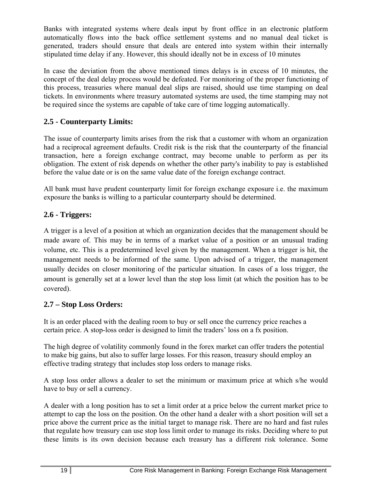Banks with integrated systems where deals input by front office in an electronic platform automatically flows into the back office settlement systems and no manual deal ticket is generated, traders should ensure that deals are entered into system within their internally stipulated time delay if any. However, this should ideally not be in excess of 10 minutes

In case the deviation from the above mentioned times delays is in excess of 10 minutes, the concept of the deal delay process would be defeated. For monitoring of the proper functioning of this process, treasuries where manual deal slips are raised, should use time stamping on deal tickets. In environments where treasury automated systems are used, the time stamping may not be required since the systems are capable of take care of time logging automatically.

# **2.5 - Counterparty Limits:**

The issue of counterparty limits arises from the risk that a customer with whom an organization had a reciprocal agreement defaults. Credit risk is the risk that the counterparty of the financial transaction, here a foreign exchange contract, may become unable to perform as per its obligation. The extent of risk depends on whether the other party's inability to pay is established before the value date or is on the same value date of the foreign exchange contract.

All bank must have prudent counterparty limit for foreign exchange exposure i.e. the maximum exposure the banks is willing to a particular counterparty should be determined.

# **2.6 - Triggers:**

A trigger is a level of a position at which an organization decides that the management should be made aware of. This may be in terms of a market value of a position or an unusual trading volume, etc. This is a predetermined level given by the management. When a trigger is hit, the management needs to be informed of the same. Upon advised of a trigger, the management usually decides on closer monitoring of the particular situation. In cases of a loss trigger, the amount is generally set at a lower level than the stop loss limit (at which the position has to be covered).

# **2.7 – Stop Loss Orders:**

It is an order placed with the dealing room to buy or sell once the currency price reaches a certain price. A stop-loss order is designed to limit the traders' loss on a fx position.

The high degree of volatility commonly found in the forex market can offer traders the potential to make big gains, but also to suffer large losses. For this reason, treasury should employ an effective trading strategy that includes stop loss orders to manage risks.

A stop loss order allows a dealer to set the minimum or maximum price at which s/he would have to buy or sell a currency.

A dealer with a long position has to set a limit order at a price below the current market price to attempt to cap the loss on the position. On the other hand a dealer with a short position will set a price above the current price as the initial target to manage risk. There are no hard and fast rules that regulate how treasury can use stop loss limit order to manage its risks. Deciding where to put these limits is its own decision because each treasury has a different risk tolerance. Some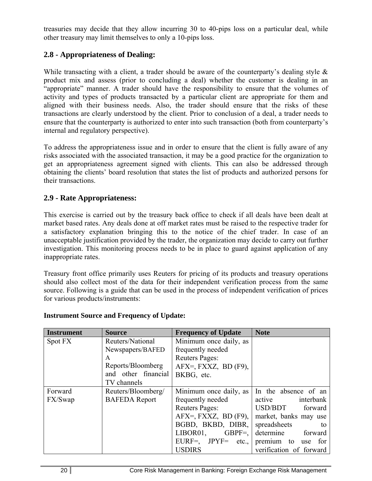treasuries may decide that they allow incurring 30 to 40-pips loss on a particular deal, while other treasury may limit themselves to only a 10-pips loss.

# **2.8 - Appropriateness of Dealing:**

While transacting with a client, a trader should be aware of the counterparty's dealing style  $\&$ product mix and assess (prior to concluding a deal) whether the customer is dealing in an "appropriate" manner. A trader should have the responsibility to ensure that the volumes of activity and types of products transacted by a particular client are appropriate for them and aligned with their business needs. Also, the trader should ensure that the risks of these transactions are clearly understood by the client. Prior to conclusion of a deal, a trader needs to ensure that the counterparty is authorized to enter into such transaction (both from counterparty's internal and regulatory perspective).

To address the appropriateness issue and in order to ensure that the client is fully aware of any risks associated with the associated transaction, it may be a good practice for the organization to get an appropriateness agreement signed with clients. This can also be addressed through obtaining the clients' board resolution that states the list of products and authorized persons for their transactions.

# **2.9 - Rate Appropriateness:**

This exercise is carried out by the treasury back office to check if all deals have been dealt at market based rates. Any deals done at off market rates must be raised to the respective trader for a satisfactory explanation bringing this to the notice of the chief trader. In case of an unacceptable justification provided by the trader, the organization may decide to carry out further investigation. This monitoring process needs to be in place to guard against application of any inappropriate rates.

Treasury front office primarily uses Reuters for pricing of its products and treasury operations should also collect most of the data for their independent verification process from the same source. Following is a guide that can be used in the process of independent verification of prices for various products/instruments:

| <b>Instrument</b> | <b>Source</b>        | <b>Frequency of Update</b> | <b>Note</b>             |
|-------------------|----------------------|----------------------------|-------------------------|
| Spot FX           | Reuters/National     | Minimum once daily, as     |                         |
|                   | Newspapers/BAFED     | frequently needed          |                         |
|                   | A                    | Reuters Pages:             |                         |
|                   | Reports/Bloomberg    | $AFX = FXXZ$ , BD $(F9)$ , |                         |
|                   | and other financial  | BKBG, etc.                 |                         |
|                   | TV channels          |                            |                         |
| Forward           | Reuters/Bloomberg/   | Minimum once daily, as     | In the absence of an    |
| FX/Swap           | <b>BAFEDA</b> Report | frequently needed          | active interbank        |
|                   |                      | <b>Reuters Pages:</b>      | USD/BDT forward         |
|                   |                      | $AFX =, FXXZ, BD(F9),$     | market, banks may use   |
|                   |                      | BGBD, BKBD, DIBR,          | spreadsheets<br>to      |
|                   |                      | LIBOR01,<br>$GBPF=$        | determine forward       |
|                   |                      | $EURF =$ , $IPYF =$ etc.,  | premium to use for      |
|                   |                      | <b>USDIRS</b>              | verification of forward |

# **Instrument Source and Frequency of Update:**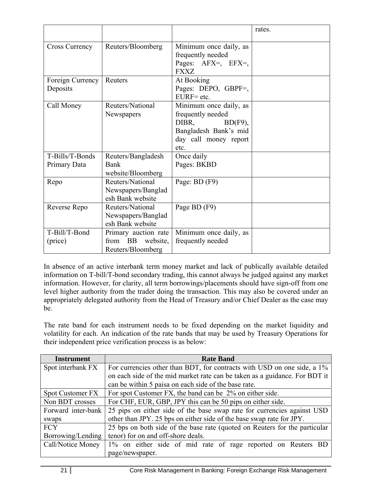|                                 |                                                                  |                                                                                                                              | rates. |
|---------------------------------|------------------------------------------------------------------|------------------------------------------------------------------------------------------------------------------------------|--------|
| <b>Cross Currency</b>           | Reuters/Bloomberg                                                | Minimum once daily, as<br>frequently needed<br>Pages: AFX=, EFX=,<br><b>FXXZ</b>                                             |        |
| Foreign Currency<br>Deposits    | Reuters                                                          | At Booking<br>Pages: DEPO, GBPF=,<br>$EURF = etc.$                                                                           |        |
| Call Money                      | Reuters/National<br>Newspapers                                   | Minimum once daily, as<br>frequently needed<br>DIBR,<br>$BD(F9)$ ,<br>Bangladesh Bank's mid<br>day call money report<br>etc. |        |
| T-Bills/T-Bonds<br>Primary Data | Reuters/Bangladesh<br>Bank<br>website/Bloomberg                  | Once daily<br>Pages: BKBD                                                                                                    |        |
| Repo                            | Reuters/National<br>Newspapers/Banglad<br>esh Bank website       | Page: BD (F9)                                                                                                                |        |
| Reverse Repo                    | Reuters/National<br>Newspapers/Banglad<br>esh Bank website       | Page BD (F9)                                                                                                                 |        |
| T-Bill/T-Bond<br>(price)        | Primary auction rate<br>from BB<br>website,<br>Reuters/Bloomberg | Minimum once daily, as<br>frequently needed                                                                                  |        |

In absence of an active interbank term money market and lack of publically available detailed information on T-bill/T-bond secondary trading, this cannot always be judged against any market information. However, for clarity, all term borrowings/placements should have sign-off from one level higher authority from the trader doing the transaction. This may also be covered under an appropriately delegated authority from the Head of Treasury and/or Chief Dealer as the case may be.

The rate band for each instrument needs to be fixed depending on the market liquidity and volatility for each. An indication of the rate bands that may be used by Treasury Operations for their independent price verification process is as below:

| <b>Instrument</b>       | <b>Rate Band</b>                                                           |  |  |  |
|-------------------------|----------------------------------------------------------------------------|--|--|--|
| Spot interbank FX       | For currencies other than BDT, for contracts with USD on one side, a 1%    |  |  |  |
|                         | on each side of the mid market rate can be taken as a guidance. For BDT it |  |  |  |
|                         | can be within 5 paisa on each side of the base rate.                       |  |  |  |
| <b>Spot Customer FX</b> | For spot Customer FX, the band can be 2% on either side.                   |  |  |  |
| Non BDT crosses         | For CHF, EUR, GBP, JPY this can be 50 pips on either side.                 |  |  |  |
| Forward inter-bank      | 25 pips on either side of the base swap rate for currencies against USD    |  |  |  |
| swaps                   | other than JPY. 25 bps on either side of the base swap rate for JPY.       |  |  |  |
| <b>FCY</b>              | 25 bps on both side of the base rate (quoted on Reuters for the particular |  |  |  |
| Borrowing/Lending       | tenor) for on and off-shore deals.                                         |  |  |  |
| Call/Notice Money       | 1% on either side of mid rate of rage reported on Reuters BD               |  |  |  |
|                         | page/newspaper.                                                            |  |  |  |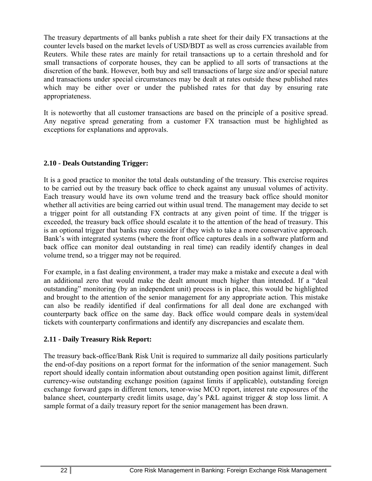The treasury departments of all banks publish a rate sheet for their daily FX transactions at the counter levels based on the market levels of USD/BDT as well as cross currencies available from Reuters. While these rates are mainly for retail transactions up to a certain threshold and for small transactions of corporate houses, they can be applied to all sorts of transactions at the discretion of the bank. However, both buy and sell transactions of large size and/or special nature and transactions under special circumstances may be dealt at rates outside these published rates which may be either over or under the published rates for that day by ensuring rate appropriateness.

It is noteworthy that all customer transactions are based on the principle of a positive spread. Any negative spread generating from a customer FX transaction must be highlighted as exceptions for explanations and approvals.

#### **2.10 - Deals Outstanding Trigger:**

It is a good practice to monitor the total deals outstanding of the treasury. This exercise requires to be carried out by the treasury back office to check against any unusual volumes of activity. Each treasury would have its own volume trend and the treasury back office should monitor whether all activities are being carried out within usual trend. The management may decide to set a trigger point for all outstanding FX contracts at any given point of time. If the trigger is exceeded, the treasury back office should escalate it to the attention of the head of treasury. This is an optional trigger that banks may consider if they wish to take a more conservative approach. Bank's with integrated systems (where the front office captures deals in a software platform and back office can monitor deal outstanding in real time) can readily identify changes in deal volume trend, so a trigger may not be required.

For example, in a fast dealing environment, a trader may make a mistake and execute a deal with an additional zero that would make the dealt amount much higher than intended. If a "deal outstanding" monitoring (by an independent unit) process is in place, this would be highlighted and brought to the attention of the senior management for any appropriate action. This mistake can also be readily identified if deal confirmations for all deal done are exchanged with counterparty back office on the same day. Back office would compare deals in system/deal tickets with counterparty confirmations and identify any discrepancies and escalate them.

#### **2.11 - Daily Treasury Risk Report:**

The treasury back-office/Bank Risk Unit is required to summarize all daily positions particularly the end-of-day positions on a report format for the information of the senior management. Such report should ideally contain information about outstanding open position against limit, different currency-wise outstanding exchange position (against limits if applicable), outstanding foreign exchange forward gaps in different tenors, tenor-wise MCO report, interest rate exposures of the balance sheet, counterparty credit limits usage, day's P&L against trigger & stop loss limit. A sample format of a daily treasury report for the senior management has been drawn.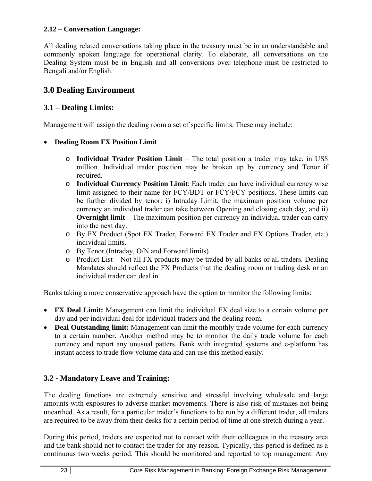#### **2.12 – Conversation Language:**

All dealing related conversations taking place in the treasury must be in an understandable and commonly spoken language for operational clarity. To elaborate, all conversations on the Dealing System must be in English and all conversions over telephone must be restricted to Bengali and/or English.

# **3.0 Dealing Environment**

# **3.1 – Dealing Limits:**

Management will assign the dealing room a set of specific limits. These may include:

#### **Dealing Room FX Position Limit**

- o **Individual Trader Position Limit** The total position a trader may take, in US\$ million. Individual trader position may be broken up by currency and Tenor if required.
- o **Individual Currency Position Limit**: Each trader can have individual currency wise limit assigned to their name for FCY/BDT or FCY/FCY positions. These limits can be further divided by tenor: i) Intraday Limit, the maximum position volume per currency an individual trader can take between Opening and closing each day, and ii) **Overnight limit** – The maximum position per currency an individual trader can carry into the next day.
- o By FX Product (Spot FX Trader, Forward FX Trader and FX Options Trader, etc.) individual limits.
- o By Tenor (Intraday, O/N and Forward limits)
- o Product List Not all FX products may be traded by all banks or all traders. Dealing Mandates should reflect the FX Products that the dealing room or trading desk or an individual trader can deal in.

Banks taking a more conservative approach have the option to monitor the following limits:

- **FX Deal Limit:** Management can limit the individual FX deal size to a certain volume per day and per individual deal for individual traders and the dealing room.
- **Deal Outstanding limit:** Management can limit the monthly trade volume for each currency to a certain number. Another method may be to monitor the daily trade volume for each currency and report any unusual patters. Bank with integrated systems and e-platform has instant access to trade flow volume data and can use this method easily.

# **3.2 - Mandatory Leave and Training:**

The dealing functions are extremely sensitive and stressful involving wholesale and large amounts with exposures to adverse market movements. There is also risk of mistakes not being unearthed. As a result, for a particular trader's functions to be run by a different trader, all traders are required to be away from their desks for a certain period of time at one stretch during a year.

During this period, traders are expected not to contact with their colleagues in the treasury area and the bank should not to contact the trader for any reason. Typically, this period is defined as a continuous two weeks period. This should be monitored and reported to top management. Any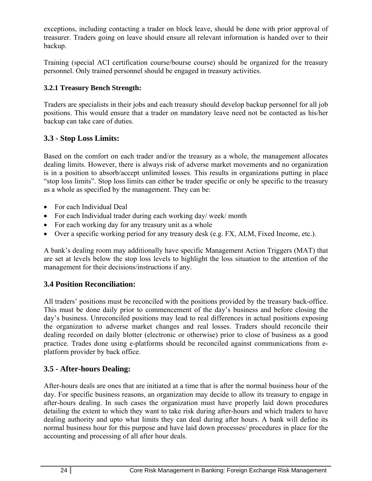exceptions, including contacting a trader on block leave, should be done with prior approval of treasurer. Traders going on leave should ensure all relevant information is handed over to their backup.

Training (special ACI certification course/bourse course) should be organized for the treasury personnel. Only trained personnel should be engaged in treasury activities.

# **3.2.1 Treasury Bench Strength:**

Traders are specialists in their jobs and each treasury should develop backup personnel for all job positions. This would ensure that a trader on mandatory leave need not be contacted as his/her backup can take care of duties.

# **3.3 - Stop Loss Limits:**

Based on the comfort on each trader and/or the treasury as a whole, the management allocates dealing limits. However, there is always risk of adverse market movements and no organization is in a position to absorb/accept unlimited losses. This results in organizations putting in place "stop loss limits". Stop loss limits can either be trader specific or only be specific to the treasury as a whole as specified by the management. They can be:

- For each Individual Deal
- For each Individual trader during each working day/ week/ month
- For each working day for any treasury unit as a whole
- Over a specific working period for any treasury desk (e.g. FX, ALM, Fixed Income, etc.).

A bank's dealing room may additionally have specific Management Action Triggers (MAT) that are set at levels below the stop loss levels to highlight the loss situation to the attention of the management for their decisions/instructions if any.

# **3.4 Position Reconciliation:**

All traders' positions must be reconciled with the positions provided by the treasury back-office. This must be done daily prior to commencement of the day's business and before closing the day's business. Unreconciled positions may lead to real differences in actual positions exposing the organization to adverse market changes and real losses. Traders should reconcile their dealing recorded on daily blotter (electronic or otherwise) prior to close of business as a good practice. Trades done using e-platforms should be reconciled against communications from eplatform provider by back office.

# **3.5 - After-hours Dealing:**

After-hours deals are ones that are initiated at a time that is after the normal business hour of the day. For specific business reasons, an organization may decide to allow its treasury to engage in after-hours dealing. In such cases the organization must have properly laid down procedures detailing the extent to which they want to take risk during after-hours and which traders to have dealing authority and upto what limits they can deal during after hours. A bank will define its normal business hour for this purpose and have laid down processes/ procedures in place for the accounting and processing of all after hour deals.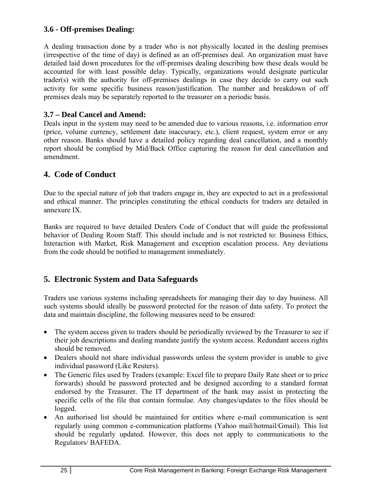# **3.6 - Off-premises Dealing:**

A dealing transaction done by a trader who is not physically located in the dealing premises (irrespective of the time of day) is defined as an off-premises deal. An organization must have detailed laid down procedures for the off-premises dealing describing how these deals would be accounted for with least possible delay. Typically, organizations would designate particular trader(s) with the authority for off-premises dealings in case they decide to carry out such activity for some specific business reason/justification. The number and breakdown of off premises deals may be separately reported to the treasurer on a periodic basis.

## **3.7 – Deal Cancel and Amend:**

Deals input in the system may need to be amended due to various reasons, i.e. information error (price, volume currency, settlement date inaccuracy, etc.), client request, system error or any other reason. Banks should have a detailed policy regarding deal cancellation, and a monthly report should be complied by Mid/Back Office capturing the reason for deal cancellation and amendment.

# **4. Code of Conduct**

Due to the special nature of job that traders engage in, they are expected to act in a professional and ethical manner. The principles constituting the ethical conducts for traders are detailed in annexure IX.

Banks are required to have detailed Dealers Code of Conduct that will guide the professional behavior of Dealing Room Staff. This should include and is not restricted to: Business Ethics, Interaction with Market, Risk Management and exception escalation process. Any deviations from the code should be notified to management immediately.

# **5. Electronic System and Data Safeguards**

Traders use various systems including spreadsheets for managing their day to day business. All such systems should ideally be password protected for the reason of data safety. To protect the data and maintain discipline, the following measures need to be ensured:

- The system access given to traders should be periodically reviewed by the Treasurer to see if their job descriptions and dealing mandate justify the system access. Redundant access rights should be removed.
- Dealers should not share individual passwords unless the system provider is unable to give individual password (Like Reuters).
- The Generic files used by Traders (example: Excel file to prepare Daily Rate sheet or to price forwards) should be password protected and be designed according to a standard format endorsed by the Treasurer. The IT department of the bank may assist in protecting the specific cells of the file that contain formulae. Any changes/updates to the files should be logged.
- An authorised list should be maintained for entities where e-mail communication is sent regularly using common e-communication platforms (Yahoo mail/hotmail/Gmail). This list should be regularly updated. However, this does not apply to communications to the Regulators/ BAFEDA.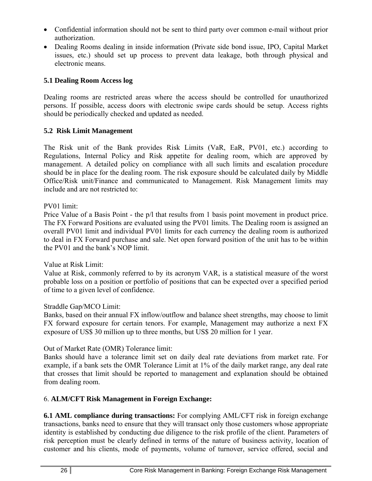- Confidential information should not be sent to third party over common e-mail without prior authorization.
- Dealing Rooms dealing in inside information (Private side bond issue, IPO, Capital Market issues, etc.) should set up process to prevent data leakage, both through physical and electronic means.

## **5.1 Dealing Room Access log**

Dealing rooms are restricted areas where the access should be controlled for unauthorized persons. If possible, access doors with electronic swipe cards should be setup. Access rights should be periodically checked and updated as needed.

# **5.2 Risk Limit Management**

The Risk unit of the Bank provides Risk Limits (VaR, EaR, PV01, etc.) according to Regulations, Internal Policy and Risk appetite for dealing room, which are approved by management. A detailed policy on compliance with all such limits and escalation procedure should be in place for the dealing room. The risk exposure should be calculated daily by Middle Office/Risk unit/Finance and communicated to Management. Risk Management limits may include and are not restricted to:

#### PV01 limit:

Price Value of a Basis Point - the p/l that results from 1 basis point movement in product price. The FX Forward Positions are evaluated using the PV01 limits. The Dealing room is assigned an overall PV01 limit and individual PV01 limits for each currency the dealing room is authorized to deal in FX Forward purchase and sale. Net open forward position of the unit has to be within the PV01 and the bank's NOP limit.

#### Value at Risk Limit:

Value at Risk, commonly referred to by its acronym VAR, is a statistical measure of the worst probable loss on a position or portfolio of positions that can be expected over a specified period of time to a given level of confidence.

#### Straddle Gap/MCO Limit:

Banks, based on their annual FX inflow/outflow and balance sheet strengths, may choose to limit FX forward exposure for certain tenors. For example, Management may authorize a next FX exposure of US\$ 30 million up to three months, but US\$ 20 million for 1 year.

# Out of Market Rate (OMR) Tolerance limit:

Banks should have a tolerance limit set on daily deal rate deviations from market rate. For example, if a bank sets the OMR Tolerance Limit at 1% of the daily market range, any deal rate that crosses that limit should be reported to management and explanation should be obtained from dealing room.

# 6. **ALM/CFT Risk Management in Foreign Exchange:**

**6.1 AML compliance during transactions:** For complying AML/CFT risk in foreign exchange transactions, banks need to ensure that they will transact only those customers whose appropriate identity is established by conducting due diligence to the risk profile of the client. Parameters of risk perception must be clearly defined in terms of the nature of business activity, location of customer and his clients, mode of payments, volume of turnover, service offered, social and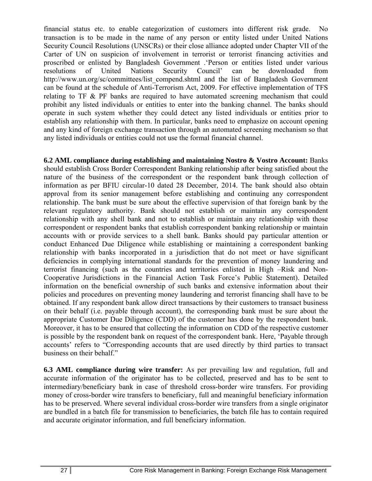financial status etc. to enable categorization of customers into different risk grade. No transaction is to be made in the name of any person or entity listed under United Nations Security Council Resolutions (UNSCRs) or their close alliance adopted under Chapter VII of the Carter of UN on suspicion of involvement in terrorist or terrorist financing activities and proscribed or enlisted by Bangladesh Government .'Person or entities listed under various resolutions of United Nations Security Council' can be downloaded from http://www.un.org/sc/committees/list\_compend.shtml and the list of Bangladesh Government can be found at the schedule of Anti-Terrorism Act, 2009. For effective implementation of TFS relating to TF & PF banks are required to have automated screening mechanism that could prohibit any listed individuals or entities to enter into the banking channel. The banks should operate in such system whether they could detect any listed individuals or entities prior to establish any relationship with them. In particular, banks need to emphasize on account opening and any kind of foreign exchange transaction through an automated screening mechanism so that any listed individuals or entities could not use the formal financial channel.

**6.2 AML compliance during establishing and maintaining Nostro & Vostro Account:** Banks should establish Cross Border Correspondent Banking relationship after being satisfied about the nature of the business of the correspondent or the respondent bank through collection of information as per BFIU circular-10 dated 28 December, 2014. The bank should also obtain approval from its senior management before establishing and continuing any correspondent relationship. The bank must be sure about the effective supervision of that foreign bank by the relevant regulatory authority. Bank should not establish or maintain any correspondent relationship with any shell bank and not to establish or maintain any relationship with those correspondent or respondent banks that establish correspondent banking relationship or maintain accounts with or provide services to a shell bank. Banks should pay particular attention or conduct Enhanced Due Diligence while establishing or maintaining a correspondent banking relationship with banks incorporated in a jurisdiction that do not meet or have significant deficiencies in complying international standards for the prevention of money laundering and terrorist financing (such as the countries and territories enlisted in High –Risk and Non-Cooperative Jurisdictions in the Financial Action Task Force's Public Statement). Detailed information on the beneficial ownership of such banks and extensive information about their policies and procedures on preventing money laundering and terrorist financing shall have to be obtained. If any respondent bank allow direct transactions by their customers to transact business on their behalf (i.e. payable through account), the corresponding bank must be sure about the appropriate Customer Due Diligence (CDD) of the customer has done by the respondent bank. Moreover, it has to be ensured that collecting the information on CDD of the respective customer is possible by the respondent bank on request of the correspondent bank. Here, 'Payable through accounts' refers to "Corresponding accounts that are used directly by third parties to transact business on their behalf."

**6.3 AML compliance during wire transfer:** As per prevailing law and regulation, full and accurate information of the originator has to be collected, preserved and has to be sent to intermediary/beneficiary bank in case of threshold cross-border wire transfers. For providing money of cross-border wire transfers to beneficiary, full and meaningful beneficiary information has to be preserved. Where several individual cross-border wire transfers from a single originator are bundled in a batch file for transmission to beneficiaries, the batch file has to contain required and accurate originator information, and full beneficiary information.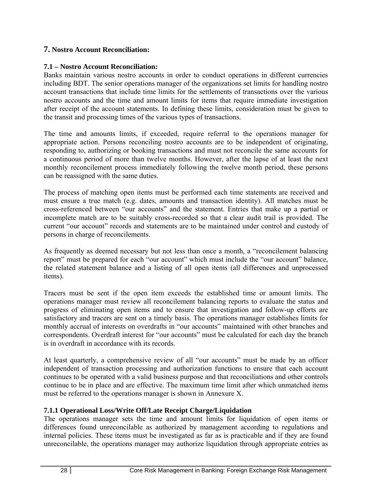#### **7. Nostro Account Reconciliation:**

#### **7.1 – Nostro Account Reconciliation:**

Banks maintain various nostro accounts in order to conduct operations in different currencies including BDT. The senior operations manager of the organizations set limits for handling nostro account transactions that include time limits for the settlements of transactions over the various nostro accounts and the time and amount limits for items that require immediate investigation after receipt of the account statements. In defining these limits, consideration must be given to the transit and processing times of the various types of transactions.

The time and amounts limits, if exceeded, require referral to the operations manager for appropriate action. Persons reconciling nostro accounts are to be independent of originating, responding to, authorizing or booking transactions and must not reconcile the same accounts for a continuous period of more than twelve months. However, after the lapse of at least the next monthly reconcilement process immediately following the twelve month period, these persons can be reassigned with the same duties.

The process of matching open items must be performed each time statements are received and must ensure a true match (e.g. dates, amounts and transaction identity). All matches must be cross-referenced between "our accounts" and the statement. Entries that make up a partial or incomplete match are to be suitably cross-recorded so that a clear audit trail is provided. The current "our account" records and statements are to be maintained under control and custody of persons in charge of reconcilements.

As frequently as deemed necessary but not less than once a month, a "reconcilement balancing report" must be prepared for each "our account" which must include the "our account" balance, the related statement balance and a listing of all open items (all differences and unprocessed items).

Tracers must be sent if the open item exceeds the established time or amount limits. The operations manager must review all reconcilement balancing reports to evaluate the status and progress of eliminating open items and to ensure that investigation and follow-up efforts are satisfactory and tracers are sent on a timely basis. The operations manager establishes limits for monthly accrual of interests on overdrafts in "our accounts" maintained with other branches and correspondents. Overdraft interest for "our accounts" must be calculated for each day the branch is in overdraft in accordance with its records.

At least quarterly, a comprehensive review of all "our accounts" must be made by an officer independent of transaction processing and authorization functions to ensure that each account continues to be operated with a valid business purpose and that reconciliations and other controls continue to be in place and are effective. The maximum time limit after which unmatched items must be referred to the operations manager is shown in Annexure X.

#### **7.1.1 Operational Loss/Write Off/Late Receipt Charge/Liquidation**

The operations manager sets the time and amount limits for liquidation of open items or differences found unreconcilable as authorized by management according to regulations and internal policies. These items must be investigated as far as is practicable and if they are found unreconcilable, the operations manager may authorize liquidation through appropriate entries as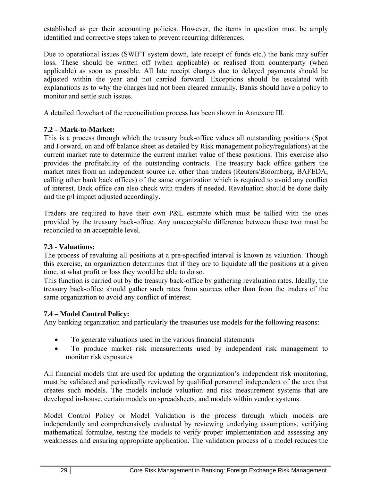established as per their accounting policies. However, the items in question must be amply identified and corrective steps taken to prevent recurring differences.

Due to operational issues (SWIFT system down, late receipt of funds etc.) the bank may suffer loss. These should be written off (when applicable) or realised from counterparty (when applicable) as soon as possible. All late receipt charges due to delayed payments should be adjusted within the year and not carried forward. Exceptions should be escalated with explanations as to why the charges had not been cleared annually. Banks should have a policy to monitor and settle such issues.

A detailed flowchart of the reconciliation process has been shown in Annexure III.

# **7.2 – Mark-to-Market:**

This is a process through which the treasury back-office values all outstanding positions (Spot and Forward, on and off balance sheet as detailed by Risk management policy/regulations) at the current market rate to determine the current market value of these positions. This exercise also provides the profitability of the outstanding contracts. The treasury back office gathers the market rates from an independent source i.e. other than traders (Reuters/Bloomberg, BAFEDA, calling other bank back offices) of the same organization which is required to avoid any conflict of interest. Back office can also check with traders if needed. Revaluation should be done daily and the p/l impact adjusted accordingly.

Traders are required to have their own P&L estimate which must be tallied with the ones provided by the treasury back-office. Any unacceptable difference between these two must be reconciled to an acceptable level.

#### **7.3 - Valuations:**

The process of revaluing all positions at a pre-specified interval is known as valuation. Though this exercise, an organization determines that if they are to liquidate all the positions at a given time, at what profit or loss they would be able to do so.

This function is carried out by the treasury back-office by gathering revaluation rates. Ideally, the treasury back-office should gather such rates from sources other than from the traders of the same organization to avoid any conflict of interest.

# **7.4 – Model Control Policy:**

Any banking organization and particularly the treasuries use models for the following reasons:

- To generate valuations used in the various financial statements
- To produce market risk measurements used by independent risk management to monitor risk exposures

All financial models that are used for updating the organization's independent risk monitoring, must be validated and periodically reviewed by qualified personnel independent of the area that creates such models. The models include valuation and risk measurement systems that are developed in-house, certain models on spreadsheets, and models within vendor systems.

Model Control Policy or Model Validation is the process through which models are independently and comprehensively evaluated by reviewing underlying assumptions, verifying mathematical formulae, testing the models to verify proper implementation and assessing any weaknesses and ensuring appropriate application. The validation process of a model reduces the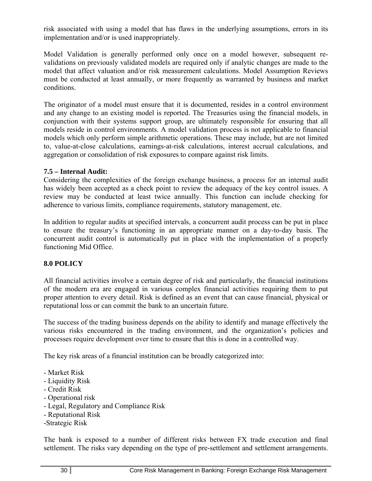risk associated with using a model that has flaws in the underlying assumptions, errors in its implementation and/or is used inappropriately.

Model Validation is generally performed only once on a model however, subsequent revalidations on previously validated models are required only if analytic changes are made to the model that affect valuation and/or risk measurement calculations. Model Assumption Reviews must be conducted at least annually, or more frequently as warranted by business and market conditions.

The originator of a model must ensure that it is documented, resides in a control environment and any change to an existing model is reported. The Treasuries using the financial models, in conjunction with their systems support group, are ultimately responsible for ensuring that all models reside in control environments. A model validation process is not applicable to financial models which only perform simple arithmetic operations. These may include, but are not limited to, value-at-close calculations, earnings-at-risk calculations, interest accrual calculations, and aggregation or consolidation of risk exposures to compare against risk limits.

#### **7.5 – Internal Audit:**

Considering the complexities of the foreign exchange business, a process for an internal audit has widely been accepted as a check point to review the adequacy of the key control issues. A review may be conducted at least twice annually. This function can include checking for adherence to various limits, compliance requirements, statutory management, etc.

In addition to regular audits at specified intervals, a concurrent audit process can be put in place to ensure the treasury's functioning in an appropriate manner on a day-to-day basis. The concurrent audit control is automatically put in place with the implementation of a properly functioning Mid Office.

#### **8.0 POLICY**

All financial activities involve a certain degree of risk and particularly, the financial institutions of the modern era are engaged in various complex financial activities requiring them to put proper attention to every detail. Risk is defined as an event that can cause financial, physical or reputational loss or can commit the bank to an uncertain future.

The success of the trading business depends on the ability to identify and manage effectively the various risks encountered in the trading environment, and the organization's policies and processes require development over time to ensure that this is done in a controlled way.

The key risk areas of a financial institution can be broadly categorized into:

- Market Risk
- Liquidity Risk
- Credit Risk
- Operational risk
- Legal, Regulatory and Compliance Risk
- Reputational Risk
- -Strategic Risk

The bank is exposed to a number of different risks between FX trade execution and final settlement. The risks vary depending on the type of pre-settlement and settlement arrangements.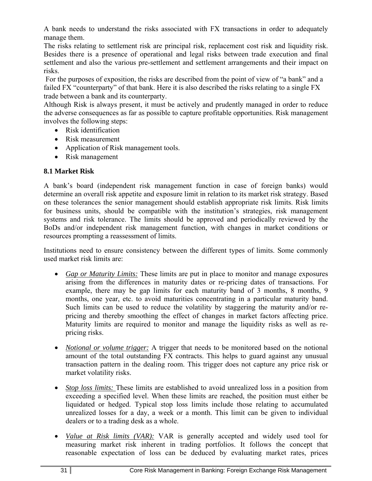A bank needs to understand the risks associated with FX transactions in order to adequately manage them.

The risks relating to settlement risk are principal risk, replacement cost risk and liquidity risk. Besides there is a presence of operational and legal risks between trade execution and final settlement and also the various pre-settlement and settlement arrangements and their impact on risks.

 For the purposes of exposition, the risks are described from the point of view of "a bank" and a failed FX "counterparty" of that bank. Here it is also described the risks relating to a single FX trade between a bank and its counterparty.

Although Risk is always present, it must be actively and prudently managed in order to reduce the adverse consequences as far as possible to capture profitable opportunities. Risk management involves the following steps:

- Risk identification
- Risk measurement
- Application of Risk management tools.
- Risk management

# **8.1 Market Risk**

A bank's board (independent risk management function in case of foreign banks) would determine an overall risk appetite and exposure limit in relation to its market risk strategy. Based on these tolerances the senior management should establish appropriate risk limits. Risk limits for business units, should be compatible with the institution's strategies, risk management systems and risk tolerance. The limits should be approved and periodically reviewed by the BoDs and/or independent risk management function, with changes in market conditions or resources prompting a reassessment of limits.

Institutions need to ensure consistency between the different types of limits. Some commonly used market risk limits are:

- *Gap or Maturity Limits:* These limits are put in place to monitor and manage exposures arising from the differences in maturity dates or re-pricing dates of transactions. For example, there may be gap limits for each maturity band of 3 months, 8 months, 9 months, one year, etc. to avoid maturities concentrating in a particular maturity band. Such limits can be used to reduce the volatility by staggering the maturity and/or repricing and thereby smoothing the effect of changes in market factors affecting price. Maturity limits are required to monitor and manage the liquidity risks as well as repricing risks.
- *Notional or volume trigger:* A trigger that needs to be monitored based on the notional amount of the total outstanding FX contracts. This helps to guard against any unusual transaction pattern in the dealing room. This trigger does not capture any price risk or market volatility risks.
- *Stop loss limits:* These limits are established to avoid unrealized loss in a position from exceeding a specified level. When these limits are reached, the position must either be liquidated or hedged. Typical stop loss limits include those relating to accumulated unrealized losses for a day, a week or a month. This limit can be given to individual dealers or to a trading desk as a whole.
- *Value at Risk limits (VAR):* VAR is generally accepted and widely used tool for measuring market risk inherent in trading portfolios. It follows the concept that reasonable expectation of loss can be deduced by evaluating market rates, prices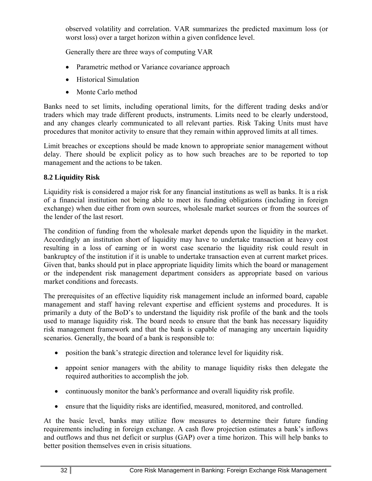observed volatility and correlation. VAR summarizes the predicted maximum loss (or worst loss) over a target horizon within a given confidence level.

Generally there are three ways of computing VAR

- Parametric method or Variance covariance approach
- Historical Simulation
- Monte Carlo method

Banks need to set limits, including operational limits, for the different trading desks and/or traders which may trade different products, instruments. Limits need to be clearly understood, and any changes clearly communicated to all relevant parties. Risk Taking Units must have procedures that monitor activity to ensure that they remain within approved limits at all times.

Limit breaches or exceptions should be made known to appropriate senior management without delay. There should be explicit policy as to how such breaches are to be reported to top management and the actions to be taken.

# **8.2 Liquidity Risk**

Liquidity risk is considered a major risk for any financial institutions as well as banks. It is a risk of a financial institution not being able to meet its funding obligations (including in foreign exchange) when due either from own sources, wholesale market sources or from the sources of the lender of the last resort.

The condition of funding from the wholesale market depends upon the liquidity in the market. Accordingly an institution short of liquidity may have to undertake transaction at heavy cost resulting in a loss of earning or in worst case scenario the liquidity risk could result in bankruptcy of the institution if it is unable to undertake transaction even at current market prices. Given that, banks should put in place appropriate liquidity limits which the board or management or the independent risk management department considers as appropriate based on various market conditions and forecasts.

The prerequisites of an effective liquidity risk management include an informed board, capable management and staff having relevant expertise and efficient systems and procedures. It is primarily a duty of the BoD's to understand the liquidity risk profile of the bank and the tools used to manage liquidity risk. The board needs to ensure that the bank has necessary liquidity risk management framework and that the bank is capable of managing any uncertain liquidity scenarios. Generally, the board of a bank is responsible to:

- position the bank's strategic direction and tolerance level for liquidity risk.
- appoint senior managers with the ability to manage liquidity risks then delegate the required authorities to accomplish the job.
- continuously monitor the bank's performance and overall liquidity risk profile.
- ensure that the liquidity risks are identified, measured, monitored, and controlled.

At the basic level, banks may utilize flow measures to determine their future funding requirements including in foreign exchange. A cash flow projection estimates a bank's inflows and outflows and thus net deficit or surplus (GAP) over a time horizon. This will help banks to better position themselves even in crisis situations.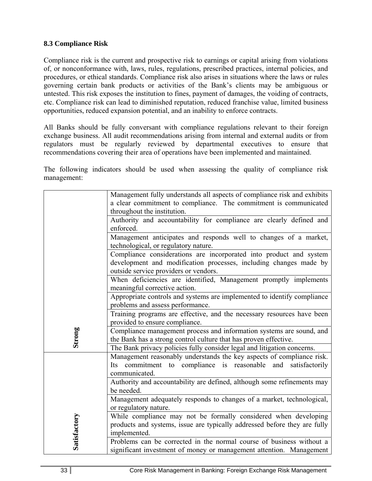#### **8.3 Compliance Risk**

Compliance risk is the current and prospective risk to earnings or capital arising from violations of, or nonconformance with, laws, rules, regulations, prescribed practices, internal policies, and procedures, or ethical standards. Compliance risk also arises in situations where the laws or rules governing certain bank products or activities of the Bank's clients may be ambiguous or untested. This risk exposes the institution to fines, payment of damages, the voiding of contracts, etc. Compliance risk can lead to diminished reputation, reduced franchise value, limited business opportunities, reduced expansion potential, and an inability to enforce contracts.

All Banks should be fully conversant with compliance regulations relevant to their foreign exchange business. All audit recommendations arising from internal and external audits or from regulators must be regularly reviewed by departmental executives to ensure that recommendations covering their area of operations have been implemented and maintained.

The following indicators should be used when assessing the quality of compliance risk management:

|              | Management fully understands all aspects of compliance risk and exhibits<br>a clear commitment to compliance. The commitment is communicated                                                                                          |
|--------------|---------------------------------------------------------------------------------------------------------------------------------------------------------------------------------------------------------------------------------------|
|              | throughout the institution.<br>Authority and accountability for compliance are clearly defined and<br>enforced.                                                                                                                       |
|              | Management anticipates and responds well to changes of a market,<br>technological, or regulatory nature.                                                                                                                              |
|              | Compliance considerations are incorporated into product and system<br>development and modification processes, including changes made by<br>outside service providers or vendors.                                                      |
|              | When deficiencies are identified, Management promptly implements<br>meaningful corrective action.                                                                                                                                     |
|              | Appropriate controls and systems are implemented to identify compliance<br>problems and assess performance.                                                                                                                           |
|              | Training programs are effective, and the necessary resources have been<br>provided to ensure compliance.                                                                                                                              |
| Strong       | Compliance management process and information systems are sound, and<br>the Bank has a strong control culture that has proven effective.                                                                                              |
|              | The Bank privacy policies fully consider legal and litigation concerns.<br>Management reasonably understands the key aspects of compliance risk.<br>Its commitment to compliance is reasonable and<br>satisfactorily<br>communicated. |
|              | Authority and accountability are defined, although some refinements may<br>be needed.                                                                                                                                                 |
|              | Management adequately responds to changes of a market, technological,<br>or regulatory nature.                                                                                                                                        |
| Satisfactory | While compliance may not be formally considered when developing<br>products and systems, issue are typically addressed before they are fully<br>implemented.                                                                          |
|              | Problems can be corrected in the normal course of business without a<br>significant investment of money or management attention. Management                                                                                           |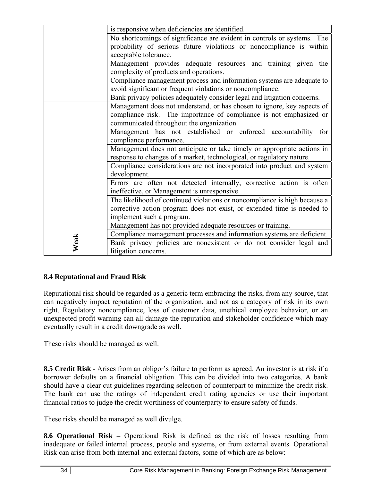|                                                                                                                                                  | is responsive when deficiencies are identified.                          |  |  |  |  |                                                                                                                                                                |
|--------------------------------------------------------------------------------------------------------------------------------------------------|--------------------------------------------------------------------------|--|--|--|--|----------------------------------------------------------------------------------------------------------------------------------------------------------------|
|                                                                                                                                                  | No shortcomings of significance are evident in controls or systems. The  |  |  |  |  |                                                                                                                                                                |
|                                                                                                                                                  | probability of serious future violations or noncompliance is within      |  |  |  |  |                                                                                                                                                                |
|                                                                                                                                                  | acceptable tolerance.                                                    |  |  |  |  |                                                                                                                                                                |
|                                                                                                                                                  | Management provides adequate resources and training given the            |  |  |  |  |                                                                                                                                                                |
|                                                                                                                                                  | complexity of products and operations.                                   |  |  |  |  |                                                                                                                                                                |
|                                                                                                                                                  | Compliance management process and information systems are adequate to    |  |  |  |  |                                                                                                                                                                |
|                                                                                                                                                  | avoid significant or frequent violations or noncompliance.               |  |  |  |  |                                                                                                                                                                |
|                                                                                                                                                  | Bank privacy policies adequately consider legal and litigation concerns. |  |  |  |  |                                                                                                                                                                |
|                                                                                                                                                  |                                                                          |  |  |  |  |                                                                                                                                                                |
|                                                                                                                                                  | Management does not understand, or has chosen to ignore, key aspects of  |  |  |  |  |                                                                                                                                                                |
|                                                                                                                                                  | compliance risk. The importance of compliance is not emphasized or       |  |  |  |  |                                                                                                                                                                |
|                                                                                                                                                  | communicated throughout the organization.                                |  |  |  |  |                                                                                                                                                                |
|                                                                                                                                                  | Management has not established or enforced accountability<br>for         |  |  |  |  |                                                                                                                                                                |
|                                                                                                                                                  | compliance performance.                                                  |  |  |  |  |                                                                                                                                                                |
| Management does not anticipate or take timely or appropriate actions in<br>response to changes of a market, technological, or regulatory nature. |                                                                          |  |  |  |  |                                                                                                                                                                |
|                                                                                                                                                  |                                                                          |  |  |  |  | Compliance considerations are not incorporated into product and system<br>development.<br>Errors are often not detected internally, corrective action is often |
|                                                                                                                                                  | ineffective, or Management is unresponsive.                              |  |  |  |  |                                                                                                                                                                |
| The likelihood of continued violations or noncompliance is high because a                                                                        |                                                                          |  |  |  |  |                                                                                                                                                                |
|                                                                                                                                                  | corrective action program does not exist, or extended time is needed to  |  |  |  |  |                                                                                                                                                                |
|                                                                                                                                                  |                                                                          |  |  |  |  |                                                                                                                                                                |
|                                                                                                                                                  | implement such a program.                                                |  |  |  |  |                                                                                                                                                                |
|                                                                                                                                                  | Management has not provided adequate resources or training.              |  |  |  |  |                                                                                                                                                                |
|                                                                                                                                                  | Compliance management processes and information systems are deficient.   |  |  |  |  |                                                                                                                                                                |
| Weak                                                                                                                                             | Bank privacy policies are nonexistent or do not consider legal and       |  |  |  |  |                                                                                                                                                                |
|                                                                                                                                                  | litigation concerns.                                                     |  |  |  |  |                                                                                                                                                                |

#### **8.4 Reputational and Fraud Risk**

Reputational risk should be regarded as a generic term embracing the risks, from any source, that can negatively impact reputation of the organization, and not as a category of risk in its own right. Regulatory noncompliance, loss of customer data, unethical employee behavior, or an unexpected profit warning can all damage the reputation and stakeholder confidence which may eventually result in a credit downgrade as well.

These risks should be managed as well.

**8.5 Credit Risk -** Arises from an obligor's failure to perform as agreed. An investor is at risk if a borrower defaults on a financial obligation. This can be divided into two categories. A bank should have a clear cut guidelines regarding selection of counterpart to minimize the credit risk. The bank can use the ratings of independent credit rating agencies or use their important financial ratios to judge the credit worthiness of counterparty to ensure safety of funds.

These risks should be managed as well divulge.

**8.6 Operational Risk** – Operational Risk is defined as the risk of losses resulting from inadequate or failed internal process, people and systems, or from external events. Operational Risk can arise from both internal and external factors, some of which are as below: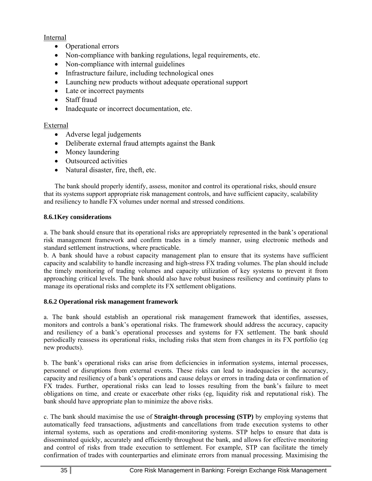#### Internal

- Operational errors
- Non-compliance with banking regulations, legal requirements, etc.
- Non-compliance with internal guidelines
- Infrastructure failure, including technological ones
- Launching new products without adequate operational support
- Late or incorrect payments
- Staff fraud
- Inadequate or incorrect documentation, etc.

#### External

- Adverse legal judgements
- Deliberate external fraud attempts against the Bank
- Money laundering
- Outsourced activities
- Natural disaster, fire, theft, etc.

The bank should properly identify, assess, monitor and control its operational risks, should ensure that its systems support appropriate risk management controls, and have sufficient capacity, scalability and resiliency to handle FX volumes under normal and stressed conditions.

#### **8.6.1Key considerations**

a. The bank should ensure that its operational risks are appropriately represented in the bank's operational risk management framework and confirm trades in a timely manner, using electronic methods and standard settlement instructions, where practicable.

b. A bank should have a robust capacity management plan to ensure that its systems have sufficient capacity and scalability to handle increasing and high-stress FX trading volumes. The plan should include the timely monitoring of trading volumes and capacity utilization of key systems to prevent it from approaching critical levels. The bank should also have robust business resiliency and continuity plans to manage its operational risks and complete its FX settlement obligations.

#### **8.6.2 Operational risk management framework**

a. The bank should establish an operational risk management framework that identifies, assesses, monitors and controls a bank's operational risks. The framework should address the accuracy, capacity and resiliency of a bank's operational processes and systems for FX settlement. The bank should periodically reassess its operational risks, including risks that stem from changes in its FX portfolio (eg new products).

b. The bank's operational risks can arise from deficiencies in information systems, internal processes, personnel or disruptions from external events. These risks can lead to inadequacies in the accuracy, capacity and resiliency of a bank's operations and cause delays or errors in trading data or confirmation of FX trades. Further, operational risks can lead to losses resulting from the bank's failure to meet obligations on time, and create or exacerbate other risks (eg, liquidity risk and reputational risk). The bank should have appropriate plan to minimize the above risks.

c. The bank should maximise the use of **Straight-through processing (STP)** by employing systems that automatically feed transactions, adjustments and cancellations from trade execution systems to other internal systems, such as operations and credit-monitoring systems. STP helps to ensure that data is disseminated quickly, accurately and efficiently throughout the bank, and allows for effective monitoring and control of risks from trade execution to settlement. For example, STP can facilitate the timely confirmation of trades with counterparties and eliminate errors from manual processing. Maximising the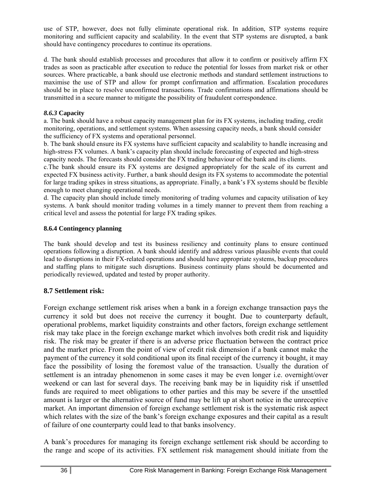use of STP, however, does not fully eliminate operational risk. In addition, STP systems require monitoring and sufficient capacity and scalability. In the event that STP systems are disrupted, a bank should have contingency procedures to continue its operations.

d. The bank should establish processes and procedures that allow it to confirm or positively affirm FX trades as soon as practicable after execution to reduce the potential for losses from market risk or other sources. Where practicable, a bank should use electronic methods and standard settlement instructions to maximise the use of STP and allow for prompt confirmation and affirmation. Escalation procedures should be in place to resolve unconfirmed transactions. Trade confirmations and affirmations should be transmitted in a secure manner to mitigate the possibility of fraudulent correspondence.

#### *8.6.3* **Capacity**

a. The bank should have a robust capacity management plan for its FX systems, including trading, credit monitoring, operations, and settlement systems. When assessing capacity needs, a bank should consider the sufficiency of FX systems and operational personnel.

b. The bank should ensure its FX systems have sufficient capacity and scalability to handle increasing and high-stress FX volumes. A bank's capacity plan should include forecasting of expected and high-stress capacity needs. The forecasts should consider the FX trading behaviour of the bank and its clients.

c.The bank should ensure its FX systems are designed appropriately for the scale of its current and expected FX business activity. Further, a bank should design its FX systems to accommodate the potential for large trading spikes in stress situations, as appropriate. Finally, a bank's FX systems should be flexible enough to meet changing operational needs.

d. The capacity plan should include timely monitoring of trading volumes and capacity utilisation of key systems. A bank should monitor trading volumes in a timely manner to prevent them from reaching a critical level and assess the potential for large FX trading spikes.

#### **8.6.4 Contingency planning**

The bank should develop and test its business resiliency and continuity plans to ensure continued operations following a disruption. A bank should identify and address various plausible events that could lead to disruptions in their FX-related operations and should have appropriate systems, backup procedures and staffing plans to mitigate such disruptions. Business continuity plans should be documented and periodically reviewed, updated and tested by proper authority.

#### **8.7 Settlement risk:**

Foreign exchange settlement risk arises when a bank in a foreign exchange transaction pays the currency it sold but does not receive the currency it bought. Due to counterparty default, operational problems, market liquidity constraints and other factors, foreign exchange settlement risk may take place in the foreign exchange market which involves both credit risk and liquidity risk. The risk may be greater if there is an adverse price fluctuation between the contract price and the market price. From the point of view of credit risk dimension if a bank cannot make the payment of the currency it sold conditional upon its final receipt of the currency it bought, it may face the possibility of losing the foremost value of the transaction. Usually the duration of settlement is an intraday phenomenon in some cases it may be even longer i.e. overnight/over weekend or can last for several days. The receiving bank may be in liquidity risk if unsettled funds are required to meet obligations to other parties and this may be severe if the unsettled amount is larger or the alternative source of fund may be lift up at short notice in the unreceptive market. An important dimension of foreign exchange settlement risk is the systematic risk aspect which relates with the size of the bank's foreign exchange exposures and their capital as a result of failure of one counterparty could lead to that banks insolvency.

A bank's procedures for managing its foreign exchange settlement risk should be according to the range and scope of its activities. FX settlement risk management should initiate from the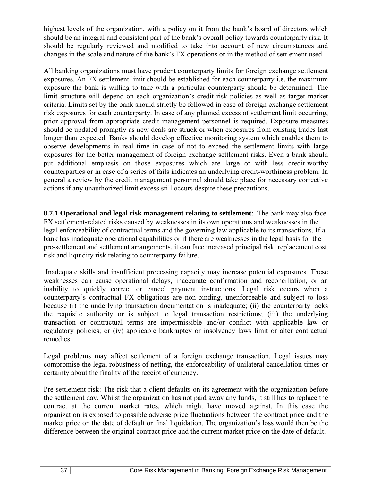highest levels of the organization, with a policy on it from the bank's board of directors which should be an integral and consistent part of the bank's overall policy towards counterparty risk. It should be regularly reviewed and modified to take into account of new circumstances and changes in the scale and nature of the bank's FX operations or in the method of settlement used.

All banking organizations must have prudent counterparty limits for foreign exchange settlement exposures. An FX settlement limit should be established for each counterparty i.e. the maximum exposure the bank is willing to take with a particular counterparty should be determined. The limit structure will depend on each organization's credit risk policies as well as target market criteria. Limits set by the bank should strictly be followed in case of foreign exchange settlement risk exposures for each counterparty. In case of any planned excess of settlement limit occurring, prior approval from appropriate credit management personnel is required. Exposure measures should be updated promptly as new deals are struck or when exposures from existing trades last longer than expected. Banks should develop effective monitoring system which enables them to observe developments in real time in case of not to exceed the settlement limits with large exposures for the better management of foreign exchange settlement risks. Even a bank should put additional emphasis on those exposures which are large or with less credit-worthy counterparties or in case of a series of fails indicates an underlying credit-worthiness problem. In general a review by the credit management personnel should take place for necessary corrective actions if any unauthorized limit excess still occurs despite these precautions.

**8.7.1 Operational and legal risk management relating to settlement**: The bank may also face FX settlement-related risks caused by weaknesses in its own operations and weaknesses in the legal enforceability of contractual terms and the governing law applicable to its transactions. If a bank has inadequate operational capabilities or if there are weaknesses in the legal basis for the pre-settlement and settlement arrangements, it can face increased principal risk, replacement cost risk and liquidity risk relating to counterparty failure.

 Inadequate skills and insufficient processing capacity may increase potential exposures. These weaknesses can cause operational delays, inaccurate confirmation and reconciliation, or an inability to quickly correct or cancel payment instructions. Legal risk occurs when a counterparty's contractual FX obligations are non-binding, unenforceable and subject to loss because (i) the underlying transaction documentation is inadequate; (ii) the counterparty lacks the requisite authority or is subject to legal transaction restrictions; (iii) the underlying transaction or contractual terms are impermissible and/or conflict with applicable law or regulatory policies; or (iv) applicable bankruptcy or insolvency laws limit or alter contractual remedies.

Legal problems may affect settlement of a foreign exchange transaction. Legal issues may compromise the legal robustness of netting, the enforceability of unilateral cancellation times or certainty about the finality of the receipt of currency.

Pre-settlement risk: The risk that a client defaults on its agreement with the organization before the settlement day. Whilst the organization has not paid away any funds, it still has to replace the contract at the current market rates, which might have moved against. In this case the organization is exposed to possible adverse price fluctuations between the contract price and the market price on the date of default or final liquidation. The organization's loss would then be the difference between the original contract price and the current market price on the date of default.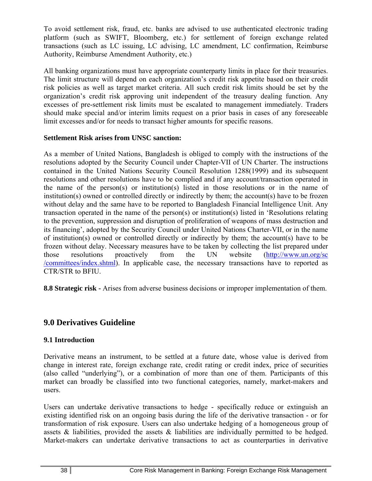To avoid settlement risk, fraud, etc. banks are advised to use authenticated electronic trading platform (such as SWIFT, Bloomberg, etc.) for settlement of foreign exchange related transactions (such as LC issuing, LC advising, LC amendment, LC confirmation, Reimburse Authority, Reimburse Amendment Authority, etc.)

All banking organizations must have appropriate counterparty limits in place for their treasuries. The limit structure will depend on each organization's credit risk appetite based on their credit risk policies as well as target market criteria. All such credit risk limits should be set by the organization's credit risk approving unit independent of the treasury dealing function. Any excesses of pre-settlement risk limits must be escalated to management immediately. Traders should make special and/or interim limits request on a prior basis in cases of any foreseeable limit excesses and/or for needs to transact higher amounts for specific reasons.

#### **Settlement Risk arises from UNSC sanction:**

As a member of United Nations, Bangladesh is obliged to comply with the instructions of the resolutions adopted by the Security Council under Chapter-VII of UN Charter. The instructions contained in the United Nations Security Council Resolution 1288(1999) and its subsequent resolutions and other resolutions have to be complied and if any account/transaction operated in the name of the person(s) or institution(s) listed in those resolutions or in the name of institution(s) owned or controlled directly or indirectly by them; the account(s) have to be frozen without delay and the same have to be reported to Bangladesh Financial Intelligence Unit. Any transaction operated in the name of the person(s) or institution(s) listed in 'Resolutions relating to the prevention, suppression and disruption of proliferation of weapons of mass destruction and its financing', adopted by the Security Council under United Nations Charter-VII, or in the name of institution(s) owned or controlled directly or indirectly by them; the account(s) have to be frozen without delay. Necessary measures have to be taken by collecting the list prepared under those resolutions proactively from the UN website (http://www.un.org/sc /committees/index.shtml). In applicable case, the necessary transactions have to reported as CTR/STR to BFIU.

**8.8 Strategic risk -** Arises from adverse business decisions or improper implementation of them.

# **9.0 Derivatives Guideline**

#### **9.1 Introduction**

Derivative means an instrument, to be settled at a future date, whose value is derived from change in interest rate, foreign exchange rate, credit rating or credit index, price of securities (also called "underlying"), or a combination of more than one of them. Participants of this market can broadly be classified into two functional categories, namely, market-makers and users.

Users can undertake derivative transactions to hedge - specifically reduce or extinguish an existing identified risk on an ongoing basis during the life of the derivative transaction - or for transformation of risk exposure. Users can also undertake hedging of a homogeneous group of assets & liabilities, provided the assets & liabilities are individually permitted to be hedged. Market-makers can undertake derivative transactions to act as counterparties in derivative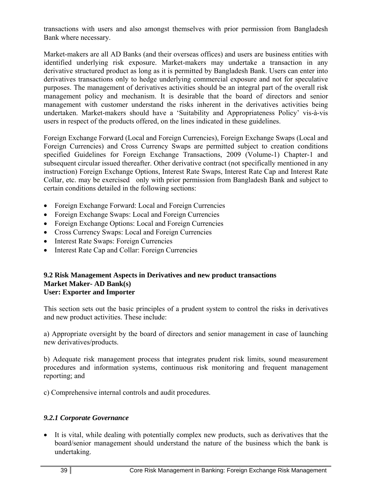transactions with users and also amongst themselves with prior permission from Bangladesh Bank where necessary.

Market-makers are all AD Banks (and their overseas offices) and users are business entities with identified underlying risk exposure. Market-makers may undertake a transaction in any derivative structured product as long as it is permitted by Bangladesh Bank. Users can enter into derivatives transactions only to hedge underlying commercial exposure and not for speculative purposes. The management of derivatives activities should be an integral part of the overall risk management policy and mechanism. It is desirable that the board of directors and senior management with customer understand the risks inherent in the derivatives activities being undertaken. Market-makers should have a 'Suitability and Appropriateness Policy' vis-à-vis users in respect of the products offered, on the lines indicated in these guidelines.

Foreign Exchange Forward (Local and Foreign Currencies), Foreign Exchange Swaps (Local and Foreign Currencies) and Cross Currency Swaps are permitted subject to creation conditions specified Guidelines for Foreign Exchange Transactions, 2009 (Volume-1) Chapter-1 and subsequent circular issued thereafter. Other derivative contract (not specifically mentioned in any instruction) Foreign Exchange Options, Interest Rate Swaps, Interest Rate Cap and Interest Rate Collar, etc. may be exercised only with prior permission from Bangladesh Bank and subject to certain conditions detailed in the following sections:

- Foreign Exchange Forward: Local and Foreign Currencies
- Foreign Exchange Swaps: Local and Foreign Currencies
- Foreign Exchange Options: Local and Foreign Currencies
- Cross Currency Swaps: Local and Foreign Currencies
- Interest Rate Swaps: Foreign Currencies
- Interest Rate Cap and Collar: Foreign Currencies

#### **9.2 Risk Management Aspects in Derivatives and new product transactions Market Maker- AD Bank(s) User: Exporter and Importer**

This section sets out the basic principles of a prudent system to control the risks in derivatives and new product activities. These include:

a) Appropriate oversight by the board of directors and senior management in case of launching new derivatives/products.

b) Adequate risk management process that integrates prudent risk limits, sound measurement procedures and information systems, continuous risk monitoring and frequent management reporting; and

c) Comprehensive internal controls and audit procedures.

# *9.2.1 Corporate Governance*

 It is vital, while dealing with potentially complex new products, such as derivatives that the board/senior management should understand the nature of the business which the bank is undertaking.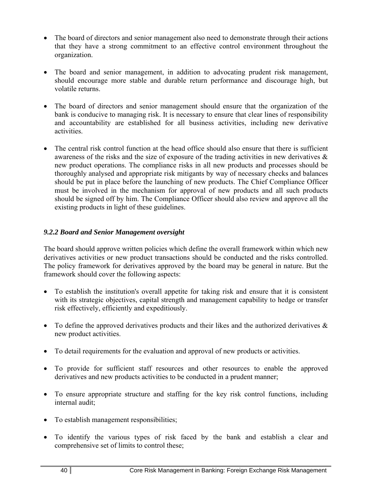- The board of directors and senior management also need to demonstrate through their actions that they have a strong commitment to an effective control environment throughout the organization.
- The board and senior management, in addition to advocating prudent risk management, should encourage more stable and durable return performance and discourage high, but volatile returns.
- The board of directors and senior management should ensure that the organization of the bank is conducive to managing risk. It is necessary to ensure that clear lines of responsibility and accountability are established for all business activities, including new derivative activities.
- The central risk control function at the head office should also ensure that there is sufficient awareness of the risks and the size of exposure of the trading activities in new derivatives & new product operations. The compliance risks in all new products and processes should be thoroughly analysed and appropriate risk mitigants by way of necessary checks and balances should be put in place before the launching of new products. The Chief Compliance Officer must be involved in the mechanism for approval of new products and all such products should be signed off by him. The Compliance Officer should also review and approve all the existing products in light of these guidelines.

# *9.2.2 Board and Senior Management oversight*

The board should approve written policies which define the overall framework within which new derivatives activities or new product transactions should be conducted and the risks controlled. The policy framework for derivatives approved by the board may be general in nature. But the framework should cover the following aspects:

- To establish the institution's overall appetite for taking risk and ensure that it is consistent with its strategic objectives, capital strength and management capability to hedge or transfer risk effectively, efficiently and expeditiously.
- To define the approved derivatives products and their likes and the authorized derivatives  $\&$ new product activities.
- To detail requirements for the evaluation and approval of new products or activities.
- To provide for sufficient staff resources and other resources to enable the approved derivatives and new products activities to be conducted in a prudent manner;
- To ensure appropriate structure and staffing for the key risk control functions, including internal audit;
- To establish management responsibilities;
- To identify the various types of risk faced by the bank and establish a clear and comprehensive set of limits to control these;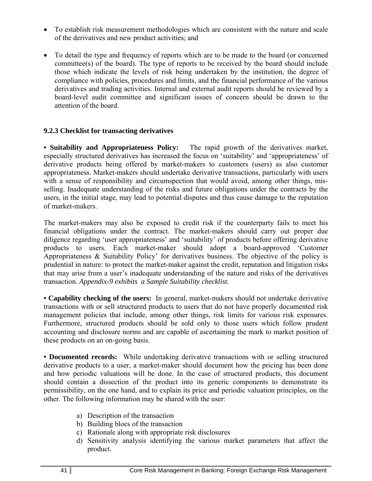- To establish risk measurement methodologies which are consistent with the nature and scale of the derivatives and new product activities; and
- To detail the type and frequency of reports which are to be made to the board (or concerned committee(s) of the board). The type of reports to be received by the board should include those which indicate the levels of risk being undertaken by the institution, the degree of compliance with policies, procedures and limits, and the financial performance of the various derivatives and trading activities. Internal and external audit reports should be reviewed by a board-level audit committee and significant issues of concern should be drawn to the attention of the board.

#### **9.2.3 Checklist for transacting derivatives**

**• Suitability and Appropriateness Policy:** The rapid growth of the derivatives market, especially structured derivatives has increased the focus on 'suitability' and 'appropriateness' of derivative products being offered by market-makers to customers (users) as also customer appropriateness. Market-makers should undertake derivative transactions, particularly with users with a sense of responsibility and circumspection that would avoid, among other things, misselling. Inadequate understanding of the risks and future obligations under the contracts by the users, in the initial stage, may lead to potential disputes and thus cause damage to the reputation of market-makers.

The market-makers may also be exposed to credit risk if the counterparty fails to meet his financial obligations under the contract. The market-makers should carry out proper due diligence regarding 'user appropriateness' and 'suitability' of products before offering derivative products to users. Each market-maker should adopt a board-approved 'Customer Appropriateness & Suitability Policy' for derivatives business. The objective of the policy is prudential in nature: to protect the market-maker against the credit, reputation and litigation risks that may arise from a user's inadequate understanding of the nature and risks of the derivatives transaction. *Appendix-9 exhibits a Sample Suitability checklist.* 

**• Capability checking of the users:** In general, market-makers should not undertake derivative transactions with or sell structured products to users that do not have properly documented risk management policies that include, among other things, risk limits for various risk exposures. Furthermore, structured products should be sold only to those users which follow prudent accounting and disclosure norms and are capable of ascertaining the mark to market position of these products on an on-going basis.

**• Documented records:** While undertaking derivative transactions with or selling structured derivative products to a user, a market-maker should document how the pricing has been done and how periodic valuations will be done. In the case of structured products, this document should contain a dissection of the product into its generic components to demonstrate its permissibility, on the one hand, and to explain its price and periodic valuation principles, on the other. The following information may be shared with the user:

- a) Description of the transaction
- b) Building blocs of the transaction
- c) Rationale along with appropriate risk disclosures
- d) Sensitivity analysis identifying the various market parameters that affect the product.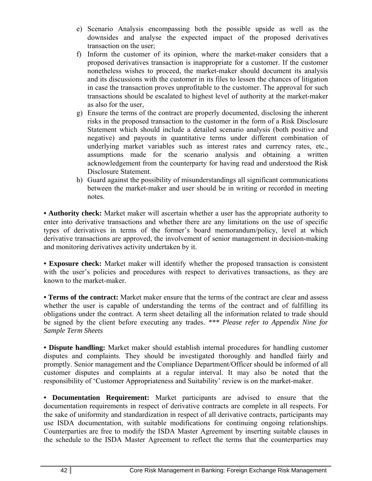- e) Scenario Analysis encompassing both the possible upside as well as the downsides and analyse the expected impact of the proposed derivatives transaction on the user;
- f) Inform the customer of its opinion, where the market-maker considers that a proposed derivatives transaction is inappropriate for a customer. If the customer nonetheless wishes to proceed, the market-maker should document its analysis and its discussions with the customer in its files to lessen the chances of litigation in case the transaction proves unprofitable to the customer. The approval for such transactions should be escalated to highest level of authority at the market-maker as also for the user,
- g) Ensure the terms of the contract are properly documented, disclosing the inherent risks in the proposed transaction to the customer in the form of a Risk Disclosure Statement which should include a detailed scenario analysis (both positive and negative) and payouts in quantitative terms under different combination of underlying market variables such as interest rates and currency rates, etc., assumptions made for the scenario analysis and obtaining a written acknowledgement from the counterparty for having read and understood the Risk Disclosure Statement.
- h) Guard against the possibility of misunderstandings all significant communications between the market-maker and user should be in writing or recorded in meeting notes.

**• Authority check:** Market maker will ascertain whether a user has the appropriate authority to enter into derivative transactions and whether there are any limitations on the use of specific types of derivatives in terms of the former's board memorandum/policy, level at which derivative transactions are approved, the involvement of senior management in decision-making and monitoring derivatives activity undertaken by it.

**• Exposure check:** Market maker will identify whether the proposed transaction is consistent with the user's policies and procedures with respect to derivatives transactions, as they are known to the market-maker.

**• Terms of the contract:** Market maker ensure that the terms of the contract are clear and assess whether the user is capable of understanding the terms of the contract and of fulfilling its obligations under the contract. A term sheet detailing all the information related to trade should be signed by the client before executing any trades. *\*\*\* Please refer to Appendix Nine for Sample Term Sheets* 

**• Dispute handling:** Market maker should establish internal procedures for handling customer disputes and complaints. They should be investigated thoroughly and handled fairly and promptly. Senior management and the Compliance Department/Officer should be informed of all customer disputes and complaints at a regular interval. It may also be noted that the responsibility of 'Customer Appropriateness and Suitability' review is on the market-maker.

**• Documentation Requirement:** Market participants are advised to ensure that the documentation requirements in respect of derivative contracts are complete in all respects. For the sake of uniformity and standardization in respect of all derivative contracts, participants may use ISDA documentation, with suitable modifications for continuing ongoing relationships. Counterparties are free to modify the ISDA Master Agreement by inserting suitable clauses in the schedule to the ISDA Master Agreement to reflect the terms that the counterparties may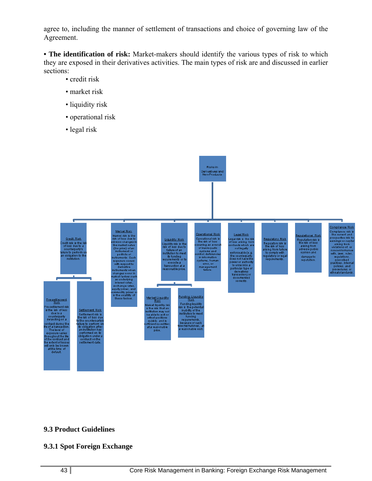agree to, including the manner of settlement of transactions and choice of governing law of the Agreement.

**• The identification of risk:** Market-makers should identify the various types of risk to which they are exposed in their derivatives activities. The main types of risk are and discussed in earlier sections:

- credit risk
- market risk
- liquidity risk
- operational risk
- legal risk



#### **9.3 Product Guidelines**

#### **9.3.1 Spot Foreign Exchange**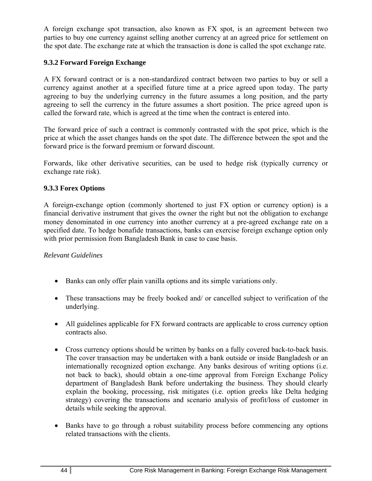A foreign exchange spot transaction, also known as FX spot, is an agreement between two parties to buy one currency against selling another currency at an agreed price for settlement on the spot date. The exchange rate at which the transaction is done is called the spot exchange rate.

#### **9.3.2 Forward Foreign Exchange**

A FX forward contract or is a non-standardized contract between two parties to buy or sell a currency against another at a specified future time at a price agreed upon today. The party agreeing to buy the underlying currency in the future assumes a long position, and the party agreeing to sell the currency in the future assumes a short position. The price agreed upon is called the forward rate, which is agreed at the time when the contract is entered into.

The forward price of such a contract is commonly contrasted with the spot price, which is the price at which the asset changes hands on the spot date. The difference between the spot and the forward price is the forward premium or forward discount.

Forwards, like other derivative securities, can be used to hedge risk (typically currency or exchange rate risk).

#### **9.3.3 Forex Options**

A foreign-exchange option (commonly shortened to just FX option or currency option) is a financial derivative instrument that gives the owner the right but not the obligation to exchange money denominated in one currency into another currency at a pre-agreed exchange rate on a specified date. To hedge bonafide transactions, banks can exercise foreign exchange option only with prior permission from Bangladesh Bank in case to case basis.

#### *Relevant Guidelines*

- Banks can only offer plain vanilla options and its simple variations only.
- These transactions may be freely booked and/ or cancelled subject to verification of the underlying.
- All guidelines applicable for FX forward contracts are applicable to cross currency option contracts also.
- Cross currency options should be written by banks on a fully covered back-to-back basis. The cover transaction may be undertaken with a bank outside or inside Bangladesh or an internationally recognized option exchange. Any banks desirous of writing options (i.e. not back to back), should obtain a one-time approval from Foreign Exchange Policy department of Bangladesh Bank before undertaking the business. They should clearly explain the booking, processing, risk mitigates (i.e. option greeks like Delta hedging strategy) covering the transactions and scenario analysis of profit/loss of customer in details while seeking the approval.
- Banks have to go through a robust suitability process before commencing any options related transactions with the clients.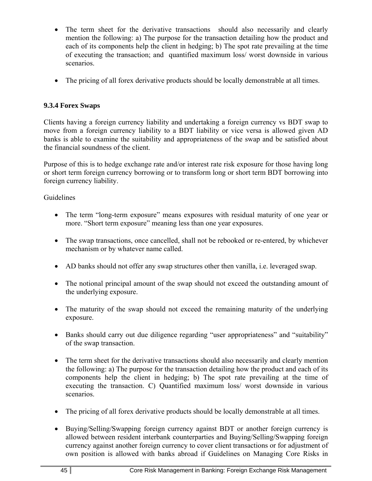- The term sheet for the derivative transactions should also necessarily and clearly mention the following: a) The purpose for the transaction detailing how the product and each of its components help the client in hedging; b) The spot rate prevailing at the time of executing the transaction; and quantified maximum loss/ worst downside in various scenarios.
- The pricing of all forex derivative products should be locally demonstrable at all times.

## **9.3.4 Forex Swaps**

Clients having a foreign currency liability and undertaking a foreign currency vs BDT swap to move from a foreign currency liability to a BDT liability or vice versa is allowed given AD banks is able to examine the suitability and appropriateness of the swap and be satisfied about the financial soundness of the client.

Purpose of this is to hedge exchange rate and/or interest rate risk exposure for those having long or short term foreign currency borrowing or to transform long or short term BDT borrowing into foreign currency liability.

#### Guidelines

- The term "long-term exposure" means exposures with residual maturity of one year or more. "Short term exposure" meaning less than one year exposures.
- The swap transactions, once cancelled, shall not be rebooked or re-entered, by whichever mechanism or by whatever name called.
- AD banks should not offer any swap structures other then vanilla, i.e. leveraged swap.
- The notional principal amount of the swap should not exceed the outstanding amount of the underlying exposure.
- The maturity of the swap should not exceed the remaining maturity of the underlying exposure.
- Banks should carry out due diligence regarding "user appropriateness" and "suitability" of the swap transaction.
- The term sheet for the derivative transactions should also necessarily and clearly mention the following: a) The purpose for the transaction detailing how the product and each of its components help the client in hedging; b) The spot rate prevailing at the time of executing the transaction. C) Quantified maximum loss/ worst downside in various scenarios.
- The pricing of all forex derivative products should be locally demonstrable at all times.
- Buying/Selling/Swapping foreign currency against BDT or another foreign currency is allowed between resident interbank counterparties and Buying/Selling/Swapping foreign currency against another foreign currency to cover client transactions or for adjustment of own position is allowed with banks abroad if Guidelines on Managing Core Risks in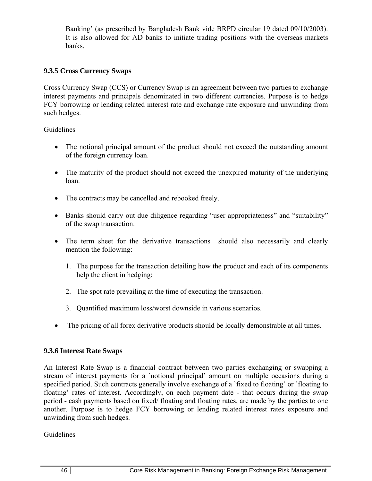Banking' (as prescribed by Bangladesh Bank vide BRPD circular 19 dated 09/10/2003). It is also allowed for AD banks to initiate trading positions with the overseas markets banks.

#### **9.3.5 Cross Currency Swaps**

Cross Currency Swap (CCS) or Currency Swap is an agreement between two parties to exchange interest payments and principals denominated in two different currencies. Purpose is to hedge FCY borrowing or lending related interest rate and exchange rate exposure and unwinding from such hedges.

#### Guidelines

- The notional principal amount of the product should not exceed the outstanding amount of the foreign currency loan.
- The maturity of the product should not exceed the unexpired maturity of the underlying loan.
- The contracts may be cancelled and rebooked freely.
- Banks should carry out due diligence regarding "user appropriateness" and "suitability" of the swap transaction.
- The term sheet for the derivative transactions should also necessarily and clearly mention the following:
	- 1. The purpose for the transaction detailing how the product and each of its components help the client in hedging;
	- 2. The spot rate prevailing at the time of executing the transaction.
	- 3. Quantified maximum loss/worst downside in various scenarios.
- The pricing of all forex derivative products should be locally demonstrable at all times.

#### **9.3.6 Interest Rate Swaps**

An Interest Rate Swap is a financial contract between two parties exchanging or swapping a stream of interest payments for a `notional principal' amount on multiple occasions during a specified period. Such contracts generally involve exchange of a `fixed to floating' or `floating to floating' rates of interest. Accordingly, on each payment date - that occurs during the swap period - cash payments based on fixed/ floating and floating rates, are made by the parties to one another. Purpose is to hedge FCY borrowing or lending related interest rates exposure and unwinding from such hedges.

Guidelines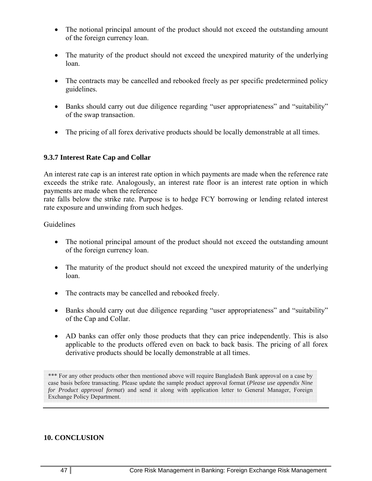- The notional principal amount of the product should not exceed the outstanding amount of the foreign currency loan.
- The maturity of the product should not exceed the unexpired maturity of the underlying loan.
- The contracts may be cancelled and rebooked freely as per specific predetermined policy guidelines.
- Banks should carry out due diligence regarding "user appropriateness" and "suitability" of the swap transaction.
- The pricing of all forex derivative products should be locally demonstrable at all times.

#### **9.3.7 Interest Rate Cap and Collar**

An interest rate cap is an interest rate option in which payments are made when the reference rate exceeds the strike rate. Analogously, an interest rate floor is an interest rate option in which payments are made when the reference

rate falls below the strike rate. Purpose is to hedge FCY borrowing or lending related interest rate exposure and unwinding from such hedges.

#### Guidelines

- The notional principal amount of the product should not exceed the outstanding amount of the foreign currency loan.
- The maturity of the product should not exceed the unexpired maturity of the underlying loan.
- The contracts may be cancelled and rebooked freely.
- Banks should carry out due diligence regarding "user appropriateness" and "suitability" of the Cap and Collar.
- AD banks can offer only those products that they can price independently. This is also applicable to the products offered even on back to back basis. The pricing of all forex derivative products should be locally demonstrable at all times.

\*\*\* For any other products other then mentioned above will require Bangladesh Bank approval on a case by case basis before transacting. Please update the sample product approval format (*Please use appendix Nine for Product approval format*) and send it along with application letter to General Manager, Foreign Exchange Policy Department.

#### **10. CONCLUSION**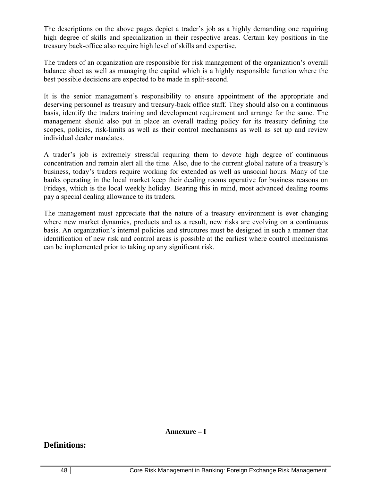The descriptions on the above pages depict a trader's job as a highly demanding one requiring high degree of skills and specialization in their respective areas. Certain key positions in the treasury back-office also require high level of skills and expertise.

The traders of an organization are responsible for risk management of the organization's overall balance sheet as well as managing the capital which is a highly responsible function where the best possible decisions are expected to be made in split-second.

It is the senior management's responsibility to ensure appointment of the appropriate and deserving personnel as treasury and treasury-back office staff. They should also on a continuous basis, identify the traders training and development requirement and arrange for the same. The management should also put in place an overall trading policy for its treasury defining the scopes, policies, risk-limits as well as their control mechanisms as well as set up and review individual dealer mandates.

A trader's job is extremely stressful requiring them to devote high degree of continuous concentration and remain alert all the time. Also, due to the current global nature of a treasury's business, today's traders require working for extended as well as unsocial hours. Many of the banks operating in the local market keep their dealing rooms operative for business reasons on Fridays, which is the local weekly holiday. Bearing this in mind, most advanced dealing rooms pay a special dealing allowance to its traders.

The management must appreciate that the nature of a treasury environment is ever changing where new market dynamics, products and as a result, new risks are evolving on a continuous basis. An organization's internal policies and structures must be designed in such a manner that identification of new risk and control areas is possible at the earliest where control mechanisms can be implemented prior to taking up any significant risk.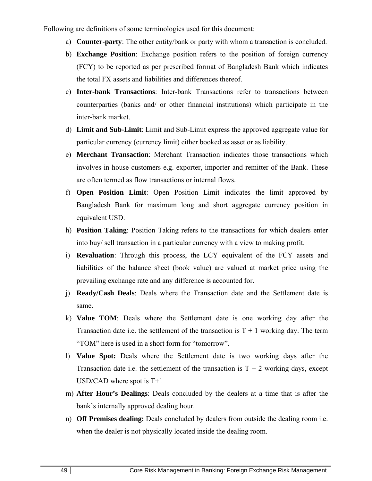Following are definitions of some terminologies used for this document:

- a) **Counter-party**: The other entity/bank or party with whom a transaction is concluded.
- b) **Exchange Position**: Exchange position refers to the position of foreign currency (FCY) to be reported as per prescribed format of Bangladesh Bank which indicates the total FX assets and liabilities and differences thereof.
- c) **Inter-bank Transactions**: Inter-bank Transactions refer to transactions between counterparties (banks and/ or other financial institutions) which participate in the inter-bank market.
- d) **Limit and Sub-Limit**: Limit and Sub-Limit express the approved aggregate value for particular currency (currency limit) either booked as asset or as liability.
- e) **Merchant Transaction**: Merchant Transaction indicates those transactions which involves in-house customers e.g. exporter, importer and remitter of the Bank. These are often termed as flow transactions or internal flows.
- f) **Open Position Limit**: Open Position Limit indicates the limit approved by Bangladesh Bank for maximum long and short aggregate currency position in equivalent USD.
- h) **Position Taking**: Position Taking refers to the transactions for which dealers enter into buy/ sell transaction in a particular currency with a view to making profit.
- i) **Revaluation**: Through this process, the LCY equivalent of the FCY assets and liabilities of the balance sheet (book value) are valued at market price using the prevailing exchange rate and any difference is accounted for.
- j) **Ready/Cash Deals**: Deals where the Transaction date and the Settlement date is same.
- k) **Value TOM**: Deals where the Settlement date is one working day after the Transaction date i.e. the settlement of the transaction is  $T + 1$  working day. The term "TOM" here is used in a short form for "tomorrow".
- l) **Value Spot:** Deals where the Settlement date is two working days after the Transaction date i.e. the settlement of the transaction is  $T + 2$  working days, except USD/CAD where spot is T+1
- m) **After Hour's Dealings**: Deals concluded by the dealers at a time that is after the bank's internally approved dealing hour.
- n) **Off Premises dealing:** Deals concluded by dealers from outside the dealing room i.e. when the dealer is not physically located inside the dealing room.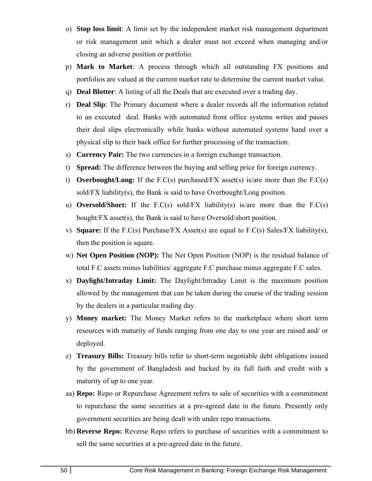- o) **Stop loss limit**: A limit set by the independent market risk management department or risk management unit which a dealer must not exceed when managing and/or closing an adverse position or portfolio.
- p) **Mark to Market**: A process through which all outstanding FX positions and portfolios are valued at the current market rate to determine the current market value.
- q) **Deal Blotter**: A listing of all the Deals that are executed over a trading day.
- r) **Deal Slip**: The Primary document where a dealer records all the information related to an executed deal. Banks with automated front office systems writes and passes their deal slips electronically while banks without automated systems hand over a physical slip to their back office for further processing of the transaction.
- s) **Currency Pair:** The two currencies in a foreign exchange transaction.
- t) **Spread:** The difference between the buying and selling price for foreign currency.
- t) **Overbought/Long:** If the F.C(s) purchased/FX asset(s) is/are more than the F.C(s) sold/FX liability(s), the Bank is said to have Overbought/Long position.
- u) **Oversold/Short:** If the F.C(s) sold/FX liability(s) is/are more than the F.C(s) bought/FX asset(s), the Bank is said to have Oversold/short position.
- v) **Square:** If the F.C(s) Purchase/FX Asset(s) are equal to F.C(s) Sales/FX liability(s), then the position is square.
- w) **Net Open Position (NOP):** The Net Open Position (NOP) is the residual balance of total F.C assets minus liabilities/ aggregate F.C purchase minus aggregate F.C sales.
- x) **Daylight/Intraday Limit:** The Daylight/Intraday Limit is the maximum position allowed by the management that can be taken during the course of the trading session by the dealers in a particular trading day.
- y) **Money market:** The Money Market refers to the marketplace where short term resources with maturity of funds ranging from one day to one year are raised and/ or deployed.
- z) **Treasury Bills:** Treasury bills refer to short-term negotiable debt obligations issued by the government of Bangladesh and backed by its full faith and credit with a maturity of up to one year.
- aa) **Repo:** Repo or Repurchase Agreement refers to sale of securities with a commitment to repurchase the same securities at a pre-agreed date in the future. Presently only government securities are being dealt with under repo transactions.
- bb) **Reverse Repo:** Reverse Repo refers to purchase of securities with a commitment to sell the same securities at a pre-agreed date in the future.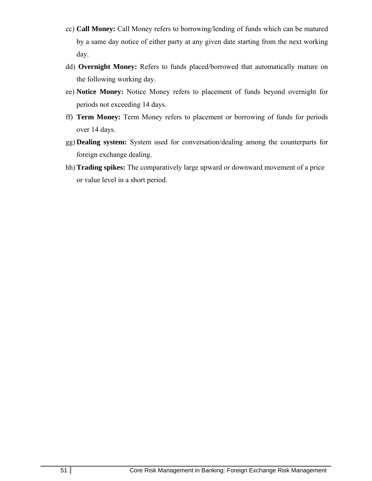- cc) **Call Money:** Call Money refers to borrowing/lending of funds which can be matured by a same day notice of either party at any given date starting from the next working day.
- dd) **Overnight Money:** Refers to funds placed/borrowed that automatically mature on the following working day.
- ee) **Notice Money:** Notice Money refers to placement of funds beyond overnight for periods not exceeding 14 days.
- ff) **Term Money:** Term Money refers to placement or borrowing of funds for periods over 14 days.
- gg) **Dealing system:** System used for conversation/dealing among the counterparts for foreign exchange dealing.
- hh) **Trading spikes:** The comparatively large upward or downward movement of a price or value level in a short period.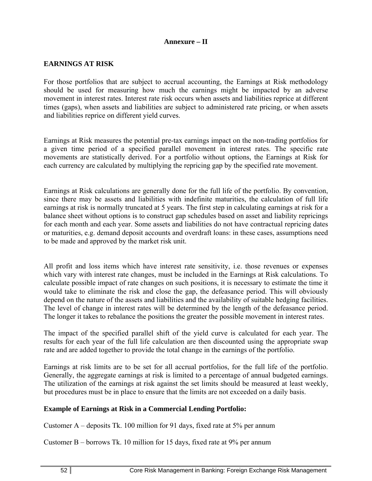#### **Annexure – II**

#### **EARNINGS AT RISK**

For those portfolios that are subject to accrual accounting, the Earnings at Risk methodology should be used for measuring how much the earnings might be impacted by an adverse movement in interest rates. Interest rate risk occurs when assets and liabilities reprice at different times (gaps), when assets and liabilities are subject to administered rate pricing, or when assets and liabilities reprice on different yield curves.

Earnings at Risk measures the potential pre-tax earnings impact on the non-trading portfolios for a given time period of a specified parallel movement in interest rates. The specific rate movements are statistically derived. For a portfolio without options, the Earnings at Risk for each currency are calculated by multiplying the repricing gap by the specified rate movement.

Earnings at Risk calculations are generally done for the full life of the portfolio. By convention, since there may be assets and liabilities with indefinite maturities, the calculation of full life earnings at risk is normally truncated at 5 years. The first step in calculating earnings at risk for a balance sheet without options is to construct gap schedules based on asset and liability repricings for each month and each year. Some assets and liabilities do not have contractual repricing dates or maturities, e.g. demand deposit accounts and overdraft loans: in these cases, assumptions need to be made and approved by the market risk unit.

All profit and loss items which have interest rate sensitivity, i.e. those revenues or expenses which vary with interest rate changes, must be included in the Earnings at Risk calculations. To calculate possible impact of rate changes on such positions, it is necessary to estimate the time it would take to eliminate the risk and close the gap, the defeasance period. This will obviously depend on the nature of the assets and liabilities and the availability of suitable hedging facilities. The level of change in interest rates will be determined by the length of the defeasance period. The longer it takes to rebalance the positions the greater the possible movement in interest rates.

The impact of the specified parallel shift of the yield curve is calculated for each year. The results for each year of the full life calculation are then discounted using the appropriate swap rate and are added together to provide the total change in the earnings of the portfolio.

Earnings at risk limits are to be set for all accrual portfolios, for the full life of the portfolio. Generally, the aggregate earnings at risk is limited to a percentage of annual budgeted earnings. The utilization of the earnings at risk against the set limits should be measured at least weekly, but procedures must be in place to ensure that the limits are not exceeded on a daily basis.

#### **Example of Earnings at Risk in a Commercial Lending Portfolio:**

Customer A – deposits Tk. 100 million for 91 days, fixed rate at 5% per annum

Customer B – borrows Tk. 10 million for 15 days, fixed rate at 9% per annum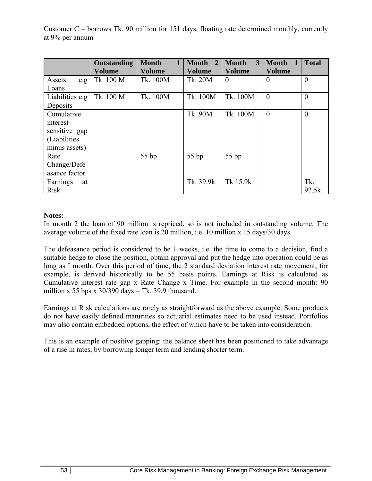Customer C – borrows Tk. 90 million for 151 days, floating rate determined monthly, currently at 9% per annum

|                 | <b>Outstanding</b><br><b>Volume</b> | <b>Month</b><br><b>Volume</b> | $\overline{2}$<br><b>Month</b><br><b>Volume</b> | 3<br><b>Month</b><br><b>Volume</b> | <b>Month</b><br>-1<br><b>Volume</b> | <b>Total</b> |
|-----------------|-------------------------------------|-------------------------------|-------------------------------------------------|------------------------------------|-------------------------------------|--------------|
| Assets<br>e.g.  | Tk. 100 M                           | Tk. 100M                      | Tk. 20M                                         | $\overline{0}$                     | $\Omega$                            | $\theta$     |
| Loans           |                                     |                               |                                                 |                                    |                                     |              |
| Liabilities e.g | Tk. 100 M                           | Tk. 100M                      | Tk. 100M                                        | Tk. 100M                           | $\mathbf{0}$                        | $\theta$     |
| Deposits        |                                     |                               |                                                 |                                    |                                     |              |
| Cumulative      |                                     |                               | Tk. 90M                                         | Tk. 100M                           | $\theta$                            | $\theta$     |
| interest        |                                     |                               |                                                 |                                    |                                     |              |
| sensitive gap   |                                     |                               |                                                 |                                    |                                     |              |
| (Liabilities)   |                                     |                               |                                                 |                                    |                                     |              |
| minus assets)   |                                     |                               |                                                 |                                    |                                     |              |
| Rate            |                                     | 55 bp                         | 55 bp                                           | 55 bp                              |                                     |              |
| Change/Defe     |                                     |                               |                                                 |                                    |                                     |              |
| asance factor   |                                     |                               |                                                 |                                    |                                     |              |
| Earnings<br>at  |                                     |                               | Tk. 39.9k                                       | Tk 15.9k                           |                                     | Tk.          |
| <b>Risk</b>     |                                     |                               |                                                 |                                    |                                     | 92.5k        |

#### **Notes:**

In month 2 the loan of 90 million is repriced, so is not included in outstanding volume. The average volume of the fixed rate loan is 20 million, i.e. 10 million x 15 days/30 days.

The defeasance period is considered to be 1 weeks, i.e. the time to come to a decision, find a suitable hedge to close the position, obtain approval and put the hedge into operation could be as long as I month. Over this period of time, the 2 standard deviation interest rate movement, for example, is derived historically to be 55 basis points. Earnings at Risk is calculated as Cumulative interest rate gap x Rate Change x Time. For example in the second month: 90 million x 55 bps x  $30/390$  days = Tk. 39.9 thousand.

Earnings at Risk calculations are rarely as straightforward as the above example. Some products do not have easily defined maturities so actuarial estimates need to be used instead. Portfolios may also contain embedded options, the effect of which have to be taken into consideration.

This is an example of positive gapping: the balance sheet has been positioned to take advantage of a rise in rates, by borrowing longer term and lending shorter term.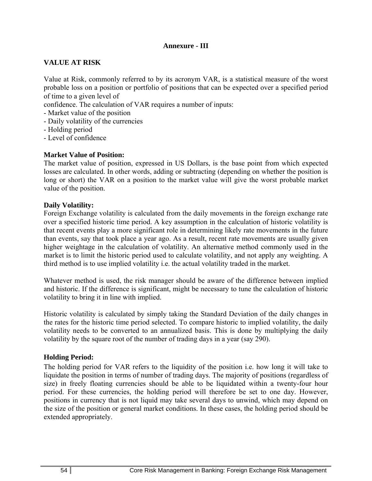#### **Annexure - III**

#### **VALUE AT RISK**

Value at Risk, commonly referred to by its acronym VAR, is a statistical measure of the worst probable loss on a position or portfolio of positions that can be expected over a specified period of time to a given level of

confidence. The calculation of VAR requires a number of inputs:

- Market value of the position
- Daily volatility of the currencies
- Holding period
- Level of confidence

#### **Market Value of Position:**

The market value of position, expressed in US Dollars, is the base point from which expected losses are calculated. In other words, adding or subtracting (depending on whether the position is long or short) the VAR on a position to the market value will give the worst probable market value of the position.

#### **Daily Volatility:**

Foreign Exchange volatility is calculated from the daily movements in the foreign exchange rate over a specified historic time period. A key assumption in the calculation of historic volatility is that recent events play a more significant role in determining likely rate movements in the future than events, say that took place a year ago. As a result, recent rate movements are usually given higher weightage in the calculation of volatility. An alternative method commonly used in the market is to limit the historic period used to calculate volatility, and not apply any weighting. A third method is to use implied volatility i.e. the actual volatility traded in the market.

Whatever method is used, the risk manager should be aware of the difference between implied and historic. If the difference is significant, might be necessary to tune the calculation of historic volatility to bring it in line with implied.

Historic volatility is calculated by simply taking the Standard Deviation of the daily changes in the rates for the historic time period selected. To compare historic to implied volatility, the daily volatility needs to be converted to an annualized basis. This is done by multiplying the daily volatility by the square root of the number of trading days in a year (say 290).

#### **Holding Period:**

The holding period for VAR refers to the liquidity of the position i.e. how long it will take to liquidate the position in terms of number of trading days. The majority of positions (regardless of size) in freely floating currencies should be able to be liquidated within a twenty-four hour period. For these currencies, the holding period will therefore be set to one day. However, positions in currency that is not liquid may take several days to unwind, which may depend on the size of the position or general market conditions. In these cases, the holding period should be extended appropriately.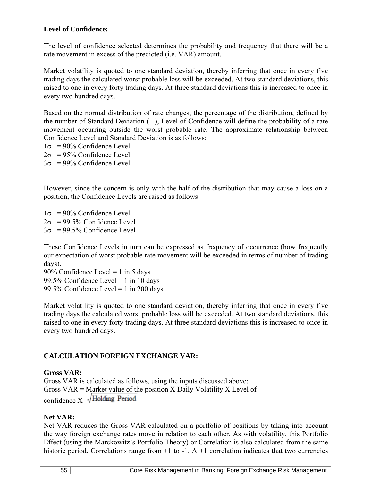### **Level of Confidence:**

The level of confidence selected determines the probability and frequency that there will be a rate movement in excess of the predicted (i.e. VAR) amount.

Market volatility is quoted to one standard deviation, thereby inferring that once in every five trading days the calculated worst probable loss will be exceeded. At two standard deviations, this raised to one in every forty trading days. At three standard deviations this is increased to once in every two hundred days.

Based on the normal distribution of rate changes, the percentage of the distribution, defined by the number of Standard Deviation (), Level of Confidence will define the probability of a rate movement occurring outside the worst probable rate. The approximate relationship between Confidence Level and Standard Deviation is as follows:

 $1\sigma = 90\%$  Confidence Level

 $2\sigma = 95\%$  Confidence Level

 $3\sigma = 99\%$  Confidence Level

However, since the concern is only with the half of the distribution that may cause a loss on a position, the Confidence Levels are raised as follows:

 $1\sigma = 90\%$  Confidence Level  $2\sigma = 99.5\%$  Confidence Level  $3\sigma = 99.5\%$  Confidence Level

These Confidence Levels in turn can be expressed as frequency of occurrence (how frequently our expectation of worst probable rate movement will be exceeded in terms of number of trading days).

90% Confidence Level = 1 in 5 days 99.5% Confidence Level = 1 in 10 days 99.5% Confidence Level = 1 in 200 days

Market volatility is quoted to one standard deviation, thereby inferring that once in every five trading days the calculated worst probable loss will be exceeded. At two standard deviations, this raised to one in every forty trading days. At three standard deviations this is increased to once in every two hundred days.

# **CALCULATION FOREIGN EXCHANGE VAR:**

#### **Gross VAR:**

Gross VAR is calculated as follows, using the inputs discussed above: Gross VAR = Market value of the position X Daily Volatility X Level of confidence  $X \sqrt{\text{Holding Period}}$ 

#### **Net VAR:**

Net VAR reduces the Gross VAR calculated on a portfolio of positions by taking into account the way foreign exchange rates move in relation to each other. As with volatility, this Portfolio Effect (using the Marckowitz's Portfolio Theory) or Correlation is also calculated from the same historic period. Correlations range from  $+1$  to  $-1$ . A  $+1$  correlation indicates that two currencies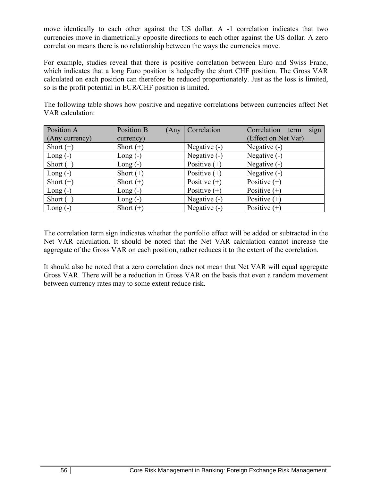move identically to each other against the US dollar. A -1 correlation indicates that two currencies move in diametrically opposite directions to each other against the US dollar. A zero correlation means there is no relationship between the ways the currencies move.

For example, studies reveal that there is positive correlation between Euro and Swiss Franc, which indicates that a long Euro position is hedgedby the short CHF position. The Gross VAR calculated on each position can therefore be reduced proportionately. Just as the loss is limited, so is the profit potential in EUR/CHF position is limited.

| Position A     | Position B  | (Any   Correlation | sign<br>Correlation term |
|----------------|-------------|--------------------|--------------------------|
| (Any currency) | currency)   |                    | (Effect on Net Var)      |
| Short $(+)$    | Short $(+)$ | Negative (-)       | Negative $(-)$           |
| Long $(-)$     | Long $(-)$  | Negative (-)       | Negative (-)             |
| Short $(+)$    | Long $(-)$  | Positive $(+)$     | Negative (-)             |
| Long $(-)$     | Short $(+)$ | Positive $(+)$     | Negative (-)             |
| Short $(+)$    | Short $(+)$ | Positive $(+)$     | Positive $(+)$           |
| Long $(-)$     | Long $(-)$  | Positive $(+)$     | Positive $(+)$           |
| Short $(+)$    | Long $(-)$  | Negative (-)       | Positive $(+)$           |
| $Long(-)$      | Short $(+)$ | Negative (-)       | Positive $(+)$           |

The following table shows how positive and negative correlations between currencies affect Net VAR calculation:

The correlation term sign indicates whether the portfolio effect will be added or subtracted in the Net VAR calculation. It should be noted that the Net VAR calculation cannot increase the aggregate of the Gross VAR on each position, rather reduces it to the extent of the correlation.

It should also be noted that a zero correlation does not mean that Net VAR will equal aggregate Gross VAR. There will be a reduction in Gross VAR on the basis that even a random movement between currency rates may to some extent reduce risk.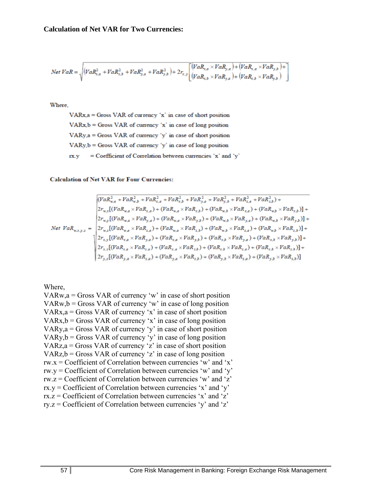$$
Net\ VaR = \sqrt{(VaR_{x,a}^{2} + VaR_{x,b}^{2} + VaR_{y,a}^{2} + VaR_{y,b}^{2}) + 2r_{x,y}\left[ \frac{(VaR_{x,a} \times VaR_{y,a}) + (VaR_{x,a} \times VaR_{y,b}) + 2r_{x,y}\left[ \frac{(VaR_{x,a} \times VaR_{y,a}) + (VaR_{x,a} \times VaR_{y,b})}{(VaR_{x,b} \times VaR_{y,b}) + (VaR_{x,b} \times VaR_{y,b})} \right] \right]}
$$

Where

 $VARx$ <sub>a</sub> = Gross VAR of currency 'x' in case of short position  $VARx, b = Gross VAR$  of currency 'x' in case of long position VARy, a = Gross VAR of currency 'y' in case of short position  $VARy, b = Gross VAR$  of currency 'y' in case of long position = Coefficient of Correlation between currencies 'x' and 'y'  $IX.V$ 

#### **Calculation of Net VAR for Four Currencies:**

$$
Net\; VaR_{w,x,y,z}^{2} = \begin{pmatrix} (VaR_{w,a}^{2} + VaR_{w,b}^{2} + VaR_{x,a}^{2} + VaR_{x,b}^{2} + VaR_{y,b}^{2} + VaR_{z,a}^{2} + VaR_{z,a}^{2} + VaR_{z,b}^{2}) + \\ 2r_{w,x}[(VaR_{w,a} \times VaR_{x,a}) + (VaR_{w,a} \times VaR_{x,b}) + (VaR_{w,b} \times VaR_{x,a}) + (VaR_{w,b} \times VaR_{y,b})] + \\ 2r_{w,y}[(VaR_{w,a} \times VaR_{y,a}) + (VaR_{w,a} \times VaR_{y,b}) + (VaR_{w,b} \times VaR_{y,a}) + (VaR_{w,b} \times VaR_{y,b})] + \\ 2r_{w,z}[(VaR_{w,a} \times VaR_{z,a}) + (VaR_{w,a} \times VaR_{z,b}) + (VaR_{w,b} \times VaR_{z,a}) + (VaR_{w,b} \times VaR_{y,b})] + \\ 2r_{x,z}[(VaR_{x,a} \times VaR_{y,a}) + (VaR_{x,a} \times VaR_{y,b}) + (VaR_{x,b} \times VaR_{y,a}) + (VaR_{x,b} \times VaR_{y,b})] + \\ 2r_{x,z}[(VaR_{x,a} \times VaR_{z,a}) + (VaR_{x,a} \times VaR_{z,b}) + (VaR_{x,b} \times VaR_{z,a}) + (VaR_{y,b} \times VaR_{z,b})] + \\ 2r_{y,z}[(VaR_{y,a} \times VaR_{z,a}) + (VaR_{y,a} \times VaR_{z,b}) + (VaR_{y,b} \times VaR_{z,a}) + (VaR_{y,b} \times VaR_{z,b})] \end{pmatrix}
$$

Where,

 $VARw, a = Gross VAR$  of currency 'w' in case of short position  $VARw, b = Gross VAR$  of currency 'w' in case of long position VARx, $a =$  Gross VAR of currency 'x' in case of short position  $VARx, b = Gross VAR$  of currency 'x' in case of long position VARy, $a =$  Gross VAR of currency 'y' in case of short position  $VARY, b = Gross VAR$  of currency 'y' in case of long position VARz, $a =$  Gross VAR of currency 'z' in case of short position  $VARz, b = Gross VAR$  of currency 'z' in case of long position  $rw.x = Coefficient of Correlation between currencies 'w' and 'x'$ rw.y = Coefficient of Correlation between currencies 'w' and 'y' rw.z = Coefficient of Correlation between currencies 'w' and 'z'  $rx.y = Coefficient of Correlation between currencies 'x' and 'y'$  $rx.z = Coefficient of Correlation between currencies 'x' and 'z'$  $ry.z = Coefficient of Correlation between currencies 'y' and 'z'$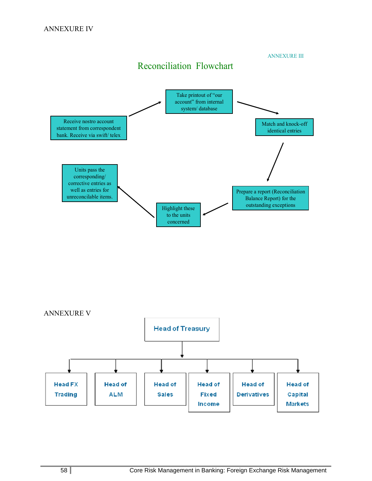Receive nostro account statement from correspondent bank. Receive via swift/ telex Match and knock-off identical entries Prepare a report (Reconciliation Balance Report) for the Highlight these outstanding exceptions to the units concerned Units pass the corresponding/ corrective entries as well as entries for unreconcilable items. Reconciliation Flowchart ANNEXURE III Take printout of "our account" from internal system/ database



58 Core Risk Management in Banking: Foreign Exchange Risk Management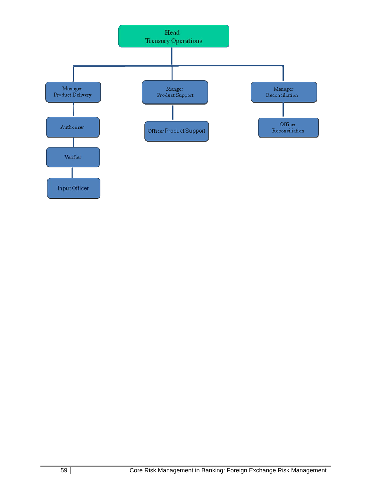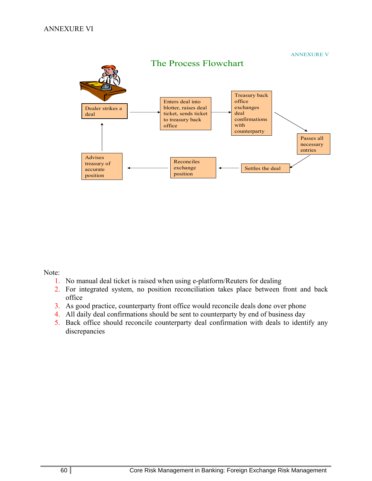ANNEXURE V



Note:

- 1. No manual deal ticket is raised when using e-platform/Reuters for dealing
- 2. For integrated system, no position reconciliation takes place between front and back office
- 3. As good practice, counterparty front office would reconcile deals done over phone
- 4. All daily deal confirmations should be sent to counterparty by end of business day
- 5. Back office should reconcile counterparty deal confirmation with deals to identify any discrepancies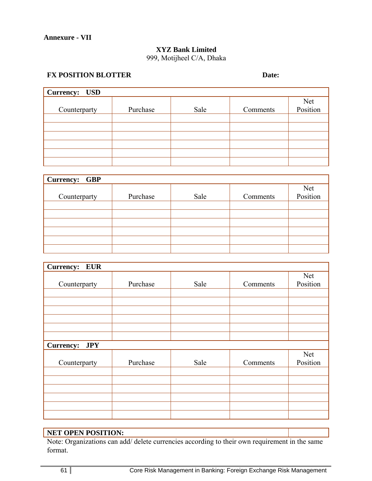# **XYZ Bank Limited**

999, Motijheel C/A, Dhaka

# **FX POSITION BLOTTER** Date:

| Currency: USD |          |      |          |                 |
|---------------|----------|------|----------|-----------------|
| Counterparty  | Purchase | Sale | Comments | Net<br>Position |
|               |          |      |          |                 |
|               |          |      |          |                 |
|               |          |      |          |                 |
|               |          |      |          |                 |
|               |          |      |          |                 |
|               |          |      |          |                 |

| Currency: GBP |          |      |          |                 |
|---------------|----------|------|----------|-----------------|
| Counterparty  | Purchase | Sale | Comments | Net<br>Position |
|               |          |      |          |                 |
|               |          |      |          |                 |
|               |          |      |          |                 |
|               |          |      |          |                 |
|               |          |      |          |                 |
|               |          |      |          |                 |

| <b>Currency:</b><br><b>EUR</b> |          |      |          |                 |
|--------------------------------|----------|------|----------|-----------------|
| Counterparty                   | Purchase | Sale | Comments | Net<br>Position |
|                                |          |      |          |                 |
|                                |          |      |          |                 |
| <b>Currency:</b><br><b>JPY</b> |          |      |          |                 |
| Counterparty                   | Purchase | Sale | Comments | Net<br>Position |
|                                |          |      |          |                 |
|                                |          |      |          |                 |
|                                |          |      |          |                 |

#### **NET OPEN POSITION:**

Note: Organizations can add/ delete currencies according to their own requirement in the same format.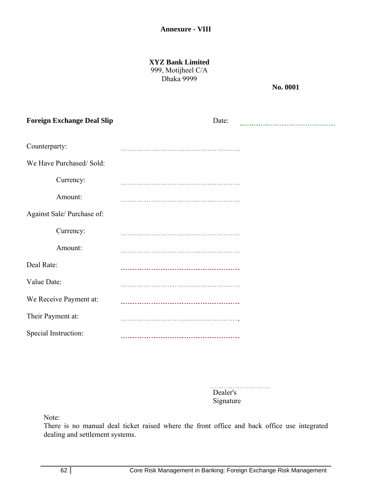**XYZ Bank Limited**  999, Motijheel C/A Dhaka 9999

**No. 0001** 

| <b>Foreign Exchange Deal Slip</b> | Date:                         |  |
|-----------------------------------|-------------------------------|--|
| Counterparty:                     |                               |  |
| We Have Purchased/Sold:           |                               |  |
| Currency:                         |                               |  |
| Amount:                           |                               |  |
| Against Sale/ Purchase of:        |                               |  |
| Currency:                         |                               |  |
| Amount:                           | _____________________________ |  |
| Deal Rate:                        |                               |  |
| Value Date:                       |                               |  |
| We Receive Payment at:            |                               |  |
| Their Payment at:                 |                               |  |
| Special Instruction:              |                               |  |

. . . . . . . . . . . . . . . Dealer's Signature

Note:

There is no manual deal ticket raised where the front office and back office use integrated dealing and settlement systems.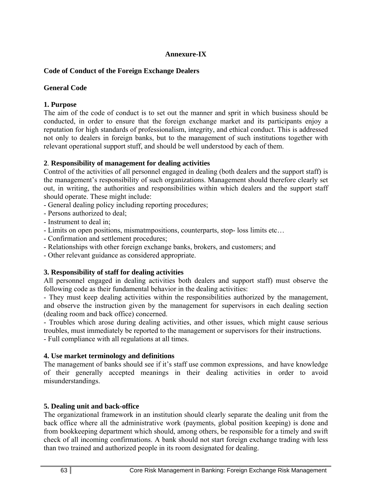#### **Annexure-IX**

#### **Code of Conduct of the Foreign Exchange Dealers**

#### **General Code**

#### **1. Purpose**

The aim of the code of conduct is to set out the manner and sprit in which business should be conducted, in order to ensure that the foreign exchange market and its participants enjoy a reputation for high standards of professionalism, integrity, and ethical conduct. This is addressed not only to dealers in foreign banks, but to the management of such institutions together with relevant operational support stuff, and should be well understood by each of them.

#### **2**. **Responsibility of management for dealing activities**

Control of the activities of all personnel engaged in dealing (both dealers and the support staff) is the management's responsibility of such organizations. Management should therefore clearly set out, in writing, the authorities and responsibilities within which dealers and the support staff should operate. These might include:

- General dealing policy including reporting procedures;
- Persons authorized to deal;
- Instrument to deal in;
- Limits on open positions, mismatmpositions, counterparts, stop- loss limits etc…
- Confirmation and settlement procedures;
- Relationships with other foreign exchange banks, brokers, and customers; and
- Other relevant guidance as considered appropriate.

#### **3. Responsibility of staff for dealing activities**

All personnel engaged in dealing activities both dealers and support staff) must observe the following code as their fundamental behavior in the dealing activities:

- They must keep dealing activities within the responsibilities authorized by the management, and observe the instruction given by the management for supervisors in each dealing section (dealing room and back office) concerned.

- Troubles which arose during dealing activities, and other issues, which might cause serious troubles, must immediately be reported to the management or supervisors for their instructions. - Full compliance with all regulations at all times.

#### **4. Use market terminology and definitions**

The management of banks should see if it's staff use common expressions, and have knowledge of their generally accepted meanings in their dealing activities in order to avoid misunderstandings.

#### **5. Dealing unit and back-office**

The organizational framework in an institution should clearly separate the dealing unit from the back office where all the administrative work (payments, global position keeping) is done and from bookkeeping department which should, among others, be responsible for a timely and swift check of all incoming confirmations. A bank should not start foreign exchange trading with less than two trained and authorized people in its room designated for dealing.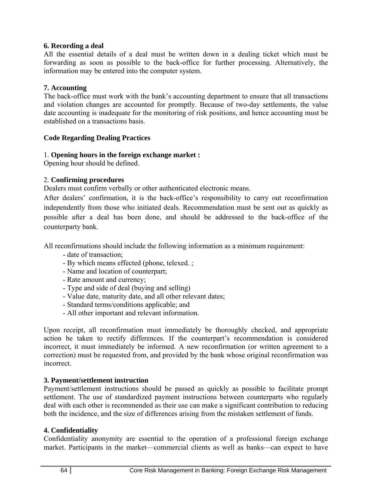#### **6. Recording a deal**

All the essential details of a deal must be written down in a dealing ticket which must be forwarding as soon as possible to the back-office for further processing. Alternatively, the information may be entered into the computer system.

#### **7. Accounting**

The back-office must work with the bank's accounting department to ensure that all transactions and violation changes are accounted for promptly. Because of two-day settlements, the value date accounting is inadequate for the monitoring of risk positions, and hence accounting must be established on a transactions basis.

#### **Code Regarding Dealing Practices**

#### 1. **Opening hours in the foreign exchange market :**

Opening hour should be defined.

#### 2. **Confirming procedures**

Dealers must confirm verbally or other authenticated electronic means.

After dealers' confirmation, it is the back-office's responsibility to carry out reconfirmation independently from those who initiated deals. Recommendation must be sent out as quickly as possible after a deal has been done, and should be addressed to the back-office of the counterparty bank.

All reconfirmations should include the following information as a minimum requirement:

- date of transaction;
- By which means effected (phone, telexed. ;
- Name and location of counterpart;
- Rate amount and currency;
- Type and side of deal (buying and selling)
- Value date, maturity date, and all other relevant dates;
- Standard terms/conditions applicable; and
- All other important and relevant information.

Upon receipt, all reconfirmation must immediately be thoroughly checked, and appropriate action be taken to rectify differences. If the counterpart's recommendation is considered incorrect, it must immediately be informed. A new reconfirmation (or written agreement to a correction) must be requested from, and provided by the bank whose original reconfirmation was incorrect.

#### **3. Payment/settlement instruction**

Payment/settlement instructions should be passed as quickly as possible to facilitate prompt settlement. The use of standardized payment instructions between counterparts who regularly deal with each other is recommended as their use can make a significant contribution to reducing both the incidence, and the size of differences arising from the mistaken settlement of funds.

#### **4. Confidentiality**

Confidentiality anonymity are essential to the operation of a professional foreign exchange market. Participants in the market—commercial clients as well as banks—can expect to have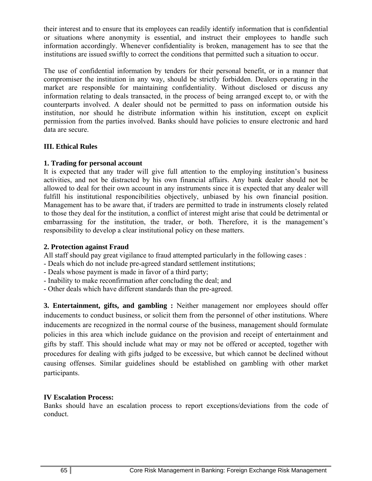their interest and to ensure that its employees can readily identify information that is confidential or situations where anonymity is essential, and instruct their employees to handle such information accordingly. Whenever confidentiality is broken, management has to see that the institutions are issued swiftly to correct the conditions that permitted such a situation to occur.

The use of confidential information by tenders for their personal benefit, or in a manner that compromiser the institution in any way, should be strictly forbidden. Dealers operating in the market are responsible for maintaining confidentiality. Without disclosed or discuss any information relating to deals transacted, in the process of being arranged except to, or with the counterparts involved. A dealer should not be permitted to pass on information outside his institution, nor should he distribute information within his institution, except on explicit permission from the parties involved. Banks should have policies to ensure electronic and hard data are secure.

#### **III. Ethical Rules**

#### **1. Trading for personal account**

It is expected that any trader will give full attention to the employing institution's business activities, and not be distracted by his own financial affairs. Any bank dealer should not be allowed to deal for their own account in any instruments since it is expected that any dealer will fulfill his institutional responcibilities objectively, unbiased by his own financial position. Management has to be aware that, if traders are permitted to trade in instruments closely related to those they deal for the institution, a conflict of interest might arise that could be detrimental or embarrassing for the institution, the trader, or both. Therefore, it is the management's responsibility to develop a clear institutional policy on these matters.

#### **2. Protection against Fraud**

All staff should pay great vigilance to fraud attempted particularly in the following cases :

- Deals which do not include pre-agreed standard settlement institutions;
- Deals whose payment is made in favor of a third party;
- Inability to make reconfirmation after concluding the deal; and
- Other deals which have different standards than the pre-agreed.

**3. Entertainment, gifts, and gambling :** Neither management nor employees should offer inducements to conduct business, or solicit them from the personnel of other institutions. Where inducements are recognized in the normal course of the business, management should formulate policies in this area which include guidance on the provision and receipt of entertainment and gifts by staff. This should include what may or may not be offered or accepted, together with procedures for dealing with gifts judged to be excessive, but which cannot be declined without causing offenses. Similar guidelines should be established on gambling with other market participants.

#### **IV Escalation Process:**

Banks should have an escalation process to report exceptions/deviations from the code of conduct.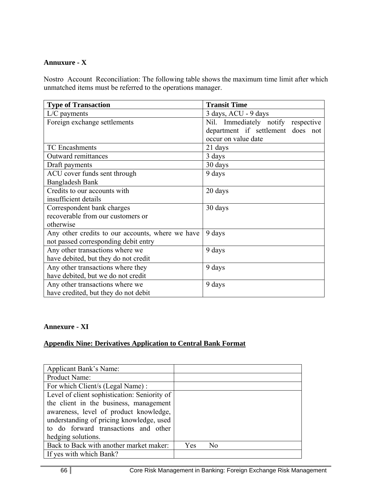#### **Annuxure - X**

Nostro Account Reconciliation: The following table shows the maximum time limit after which unmatched items must be referred to the operations manager.

| <b>Type of Transaction</b>                       | <b>Transit Time</b>                |  |  |
|--------------------------------------------------|------------------------------------|--|--|
| $L/C$ payments                                   | 3 days, ACU - 9 days               |  |  |
| Foreign exchange settlements                     | Nil. Immediately notify respective |  |  |
|                                                  | department if settlement does not  |  |  |
|                                                  | occur on value date                |  |  |
| <b>TC</b> Encashments                            | 21 days                            |  |  |
| Outward remittances                              | 3 days                             |  |  |
| Draft payments                                   | 30 days                            |  |  |
| ACU cover funds sent through                     | 9 days                             |  |  |
| <b>Bangladesh Bank</b>                           |                                    |  |  |
| Credits to our accounts with                     | 20 days                            |  |  |
| insufficient details                             |                                    |  |  |
| Correspondent bank charges                       | 30 days                            |  |  |
| recoverable from our customers or                |                                    |  |  |
| otherwise                                        |                                    |  |  |
| Any other credits to our accounts, where we have | 9 days                             |  |  |
| not passed corresponding debit entry             |                                    |  |  |
| Any other transactions where we                  | 9 days                             |  |  |
| have debited, but they do not credit             |                                    |  |  |
| Any other transactions where they                | 9 days                             |  |  |
| have debited, but we do not credit               |                                    |  |  |
| Any other transactions where we                  | 9 days                             |  |  |
| have credited, but they do not debit             |                                    |  |  |

#### **Annexure - XI**

#### **Appendix Nine: Derivatives Application to Central Bank Format**

| Applicant Bank's Name:                       |     |    |  |
|----------------------------------------------|-----|----|--|
| Product Name:                                |     |    |  |
| For which Client/s (Legal Name):             |     |    |  |
| Level of client sophistication: Seniority of |     |    |  |
| the client in the business, management       |     |    |  |
| awareness, level of product knowledge,       |     |    |  |
| understanding of pricing knowledge, used     |     |    |  |
| to do forward transactions and other         |     |    |  |
| hedging solutions.                           |     |    |  |
| Back to Back with another market maker:      | Yes | Nο |  |
| If yes with which Bank?                      |     |    |  |